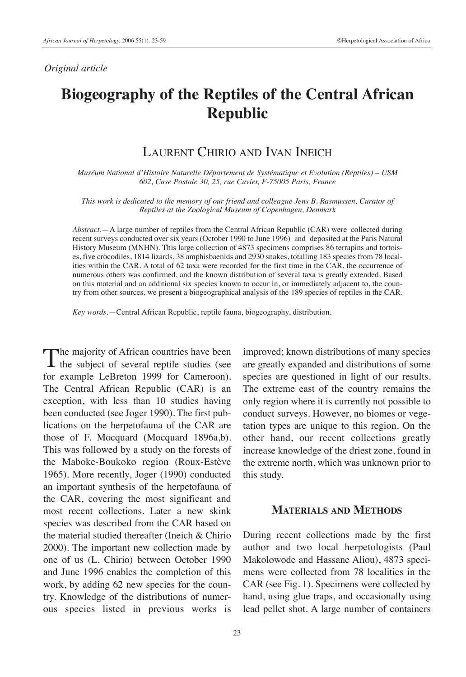#### *Original article*

# **Biogeography of the Reptiles of the Central African Republic**

## LAURENT CHIRIO AND IVAN INEICH

*Muséum National d'Histoire Naturelle Département de Systématique et Evolution (Reptiles) – USM 602, Case Postale 30, 25, rue Cuvier, F-75005 Paris, France*

*This work is dedicated to the memory of our friend and colleague Jens B. Rasmussen, Curator of Reptiles at the Zoological Museum of Copenhagen, Denmark*

*Abstract*.—A large number of reptiles from the Central African Republic (CAR) were collected during recent surveys conducted over six years (October 1990 to June 1996) and deposited at the Paris Natural History Museum (MNHN). This large collection of 4873 specimens comprises 86 terrapins and tortoises, five crocodiles, 1814 lizards, 38 amphisbaenids and 2930 snakes, totalling 183 species from 78 localities within the CAR. A total of 62 taxa were recorded for the first time in the CAR, the occurrence of numerous others was confirmed, and the known distribution of several taxa is greatly extended. Based on this material and an additional six species known to occur in, or immediately adjacent to, the country from other sources, we present a biogeographical analysis of the 189 species of reptiles in the CAR.

*Key words*.—Central African Republic, reptile fauna, biogeography, distribution.

The majority of African countries have been<br>the subject of several reptile studies (see for example LeBreton 1999 for Cameroon). The Central African Republic (CAR) is an exception, with less than 10 studies having been conducted (see Joger 1990). The first publications on the herpetofauna of the CAR are those of F. Mocquard (Mocquard 1896a,b). This was followed by a study on the forests of the Maboke-Boukoko region (Roux-Estève 1965). More recently, Joger (1990) conducted an important synthesis of the herpetofauna of the CAR, covering the most significant and most recent collections. Later a new skink species was described from the CAR based on the material studied thereafter (Ineich & Chirio 2000). The important new collection made by one of us (L. Chirio) between October 1990 and June 1996 enables the completion of this work, by adding 62 new species for the country. Knowledge of the distributions of numerous species listed in previous works is

improved; known distributions of many species are greatly expanded and distributions of some species are questioned in light of our results. The extreme east of the country remains the only region where it is currently not possible to conduct surveys. However, no biomes or vegetation types are unique to this region. On the other hand, our recent collections greatly increase knowledge of the driest zone, found in the extreme north, which was unknown prior to this study.

## **MATERIALS AND METHODS**

During recent collections made by the first author and two local herpetologists (Paul Makolowode and Hassane Aliou), 4873 specimens were collected from 78 localities in the CAR (see Fig. 1). Specimens were collected by hand, using glue traps, and occasionally using lead pellet shot. A large number of containers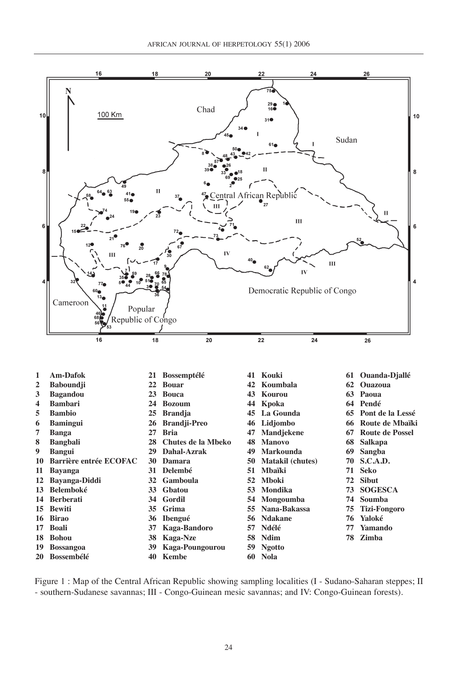

Figure 1 : Map of the Central African Republic showing sampling localities (I - Sudano-Saharan steppes; II - southern-Sudanese savannas; III - Congo-Guinean mesic savannas; and IV: Congo-Guinean forests).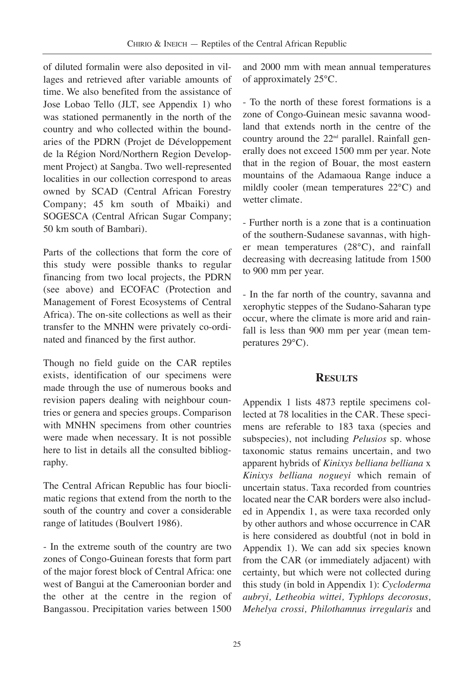of diluted formalin were also deposited in villages and retrieved after variable amounts of time. We also benefited from the assistance of Jose Lobao Tello (JLT, see Appendix 1) who was stationed permanently in the north of the country and who collected within the boundaries of the PDRN (Projet de Développement de la Région Nord/Northern Region Development Project) at Sangba. Two well-represented localities in our collection correspond to areas owned by SCAD (Central African Forestry Company; 45 km south of Mbaiki) and SOGESCA (Central African Sugar Company; 50 km south of Bambari).

Parts of the collections that form the core of this study were possible thanks to regular financing from two local projects, the PDRN (see above) and ECOFAC (Protection and Management of Forest Ecosystems of Central Africa). The on-site collections as well as their transfer to the MNHN were privately co-ordinated and financed by the first author.

Though no field guide on the CAR reptiles exists, identification of our specimens were made through the use of numerous books and revision papers dealing with neighbour countries or genera and species groups. Comparison with MNHN specimens from other countries were made when necessary. It is not possible here to list in details all the consulted bibliography.

The Central African Republic has four bioclimatic regions that extend from the north to the south of the country and cover a considerable range of latitudes (Boulvert 1986).

- In the extreme south of the country are two zones of Congo-Guinean forests that form part of the major forest block of Central Africa: one west of Bangui at the Cameroonian border and the other at the centre in the region of Bangassou. Precipitation varies between 1500 and 2000 mm with mean annual temperatures of approximately 25°C.

- To the north of these forest formations is a zone of Congo-Guinean mesic savanna woodland that extends north in the centre of the country around the  $22<sup>nd</sup>$  parallel. Rainfall generally does not exceed 1500 mm per year. Note that in the region of Bouar, the most eastern mountains of the Adamaoua Range induce a mildly cooler (mean temperatures 22°C) and wetter climate.

- Further north is a zone that is a continuation of the southern-Sudanese savannas, with higher mean temperatures (28°C), and rainfall decreasing with decreasing latitude from 1500 to 900 mm per year.

- In the far north of the country, savanna and xerophytic steppes of the Sudano-Saharan type occur, where the climate is more arid and rainfall is less than 900 mm per year (mean temperatures 29°C).

## **RESULTS**

Appendix 1 lists 4873 reptile specimens collected at 78 localities in the CAR. These specimens are referable to 183 taxa (species and subspecies), not including *Pelusios* sp. whose taxonomic status remains uncertain, and two apparent hybrids of *Kinixys belliana belliana* x *Kinixys belliana nogueyi* which remain of uncertain status. Taxa recorded from countries located near the CAR borders were also included in Appendix 1, as were taxa recorded only by other authors and whose occurrence in CAR is here considered as doubtful (not in bold in Appendix 1). We can add six species known from the CAR (or immediately adjacent) with certainty, but which were not collected during this study (in bold in Appendix 1): *Cycloderma aubryi, Letheobia wittei, Typhlops decorosus, Mehelya crossi, Philothamnus irregularis* and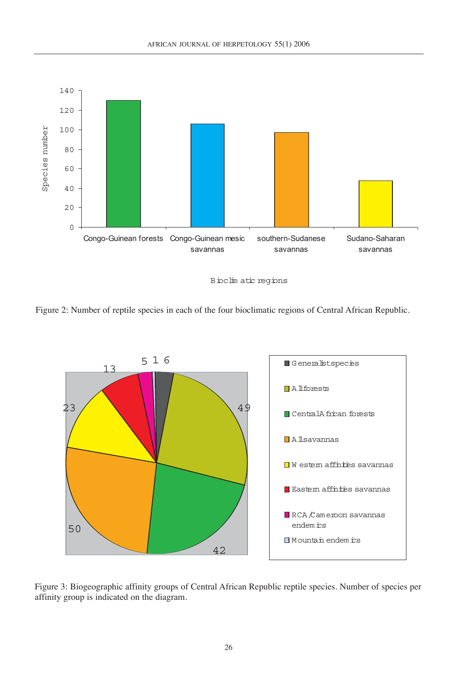

Bioclim atic regions

Figure 2: Number of reptile species in each of the four bioclimatic regions of Central African Republic.



Figure 3: Biogeographic affinity groups of Central African Republic reptile species. Number of species per affinity group is indicated on the diagram.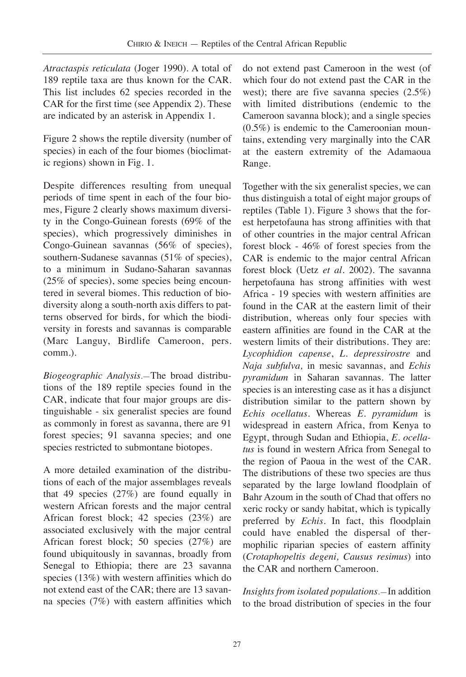*Atractaspis reticulata* (Joger 1990). A total of 189 reptile taxa are thus known for the CAR. This list includes 62 species recorded in the CAR for the first time (see Appendix 2). These are indicated by an asterisk in Appendix 1.

Figure 2 shows the reptile diversity (number of species) in each of the four biomes (bioclimatic regions) shown in Fig. 1.

Despite differences resulting from unequal periods of time spent in each of the four biomes, Figure 2 clearly shows maximum diversity in the Congo-Guinean forests (69% of the species), which progressively diminishes in Congo-Guinean savannas (56% of species), southern-Sudanese savannas (51% of species), to a minimum in Sudano-Saharan savannas (25% of species), some species being encountered in several biomes. This reduction of biodiversity along a south-north axis differs to patterns observed for birds, for which the biodiversity in forests and savannas is comparable (Marc Languy, Birdlife Cameroon, pers. comm*.*).

*Biogeographic Analysis*.—The broad distributions of the 189 reptile species found in the CAR, indicate that four major groups are distinguishable - six generalist species are found as commonly in forest as savanna, there are 91 forest species; 91 savanna species; and one species restricted to submontane biotopes.

A more detailed examination of the distributions of each of the major assemblages reveals that 49 species (27%) are found equally in western African forests and the major central African forest block; 42 species (23%) are associated exclusively with the major central African forest block; 50 species (27%) are found ubiquitously in savannas, broadly from Senegal to Ethiopia; there are 23 savanna species (13%) with western affinities which do not extend east of the CAR; there are 13 savanna species (7%) with eastern affinities which

do not extend past Cameroon in the west (of which four do not extend past the CAR in the west); there are five savanna species (2.5%) with limited distributions (endemic to the Cameroon savanna block); and a single species (0.5%) is endemic to the Cameroonian mountains, extending very marginally into the CAR at the eastern extremity of the Adamaoua Range.

Together with the six generalist species, we can thus distinguish a total of eight major groups of reptiles (Table 1). Figure 3 shows that the forest herpetofauna has strong affinities with that of other countries in the major central African forest block - 46% of forest species from the CAR is endemic to the major central African forest block (Uetz *et al.* 2002). The savanna herpetofauna has strong affinities with west Africa - 19 species with western affinities are found in the CAR at the eastern limit of their distribution, whereas only four species with eastern affinities are found in the CAR at the western limits of their distributions. They are: *Lycophidion capense*, *L. depressirostre* and *Naja subfulva,* in mesic savannas, and *Echis pyramidum* in Saharan savannas. The latter species is an interesting case as it has a disjunct distribution similar to the pattern shown by *Echis ocellatus*. Whereas *E. pyramidum* is widespread in eastern Africa, from Kenya to Egypt, through Sudan and Ethiopia, *E. ocellatus* is found in western Africa from Senegal to the region of Paoua in the west of the CAR. The distributions of these two species are thus separated by the large lowland floodplain of Bahr Azoum in the south of Chad that offers no xeric rocky or sandy habitat, which is typically preferred by *Echis*. In fact, this floodplain could have enabled the dispersal of thermophilic riparian species of eastern affinity (*Crotaphopeltis degeni, Causus resimus*) into the CAR and northern Cameroon.

*Insights from isolated populations*.—In addition to the broad distribution of species in the four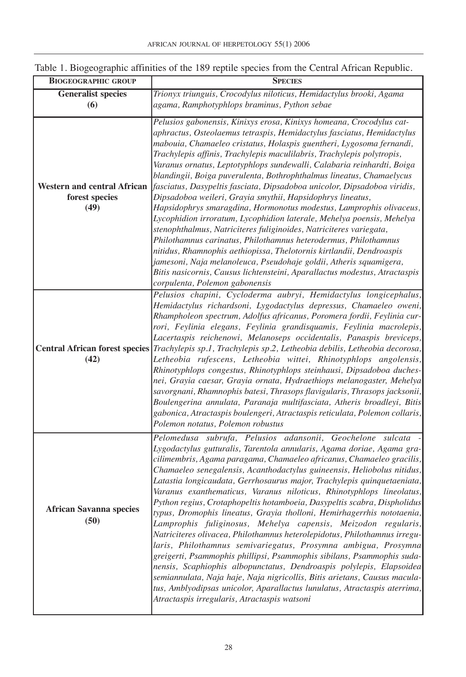| <b>BIOGEOGRAPHIC GROUP</b>         | <b>SPECIES</b>                                                                                                                                   |  |  |  |
|------------------------------------|--------------------------------------------------------------------------------------------------------------------------------------------------|--|--|--|
| <b>Generalist species</b>          | Trionyx triunguis, Crocodylus niloticus, Hemidactylus brooki, Agama                                                                              |  |  |  |
| (6)                                | agama, Ramphotyphlops braminus, Python sebae                                                                                                     |  |  |  |
|                                    |                                                                                                                                                  |  |  |  |
|                                    | Pelusios gabonensis, Kinixys erosa, Kinixys homeana, Crocodylus cat-                                                                             |  |  |  |
|                                    | aphractus, Osteolaemus tetraspis, Hemidactylus fasciatus, Hemidactylus                                                                           |  |  |  |
|                                    | mabouia, Chamaeleo cristatus, Holaspis guentheri, Lygosoma fernandi,                                                                             |  |  |  |
|                                    | Trachylepis affinis, Trachylepis maculilabris, Trachylepis polytropis,                                                                           |  |  |  |
|                                    | Varanus ornatus, Leptotyphlops sundewalli, Calabaria reinhardti, Boiga                                                                           |  |  |  |
| <b>Western and central African</b> | blandingii, Boiga puverulenta, Bothrophthalmus lineatus, Chamaelycus<br>fasciatus, Dasypeltis fasciata, Dipsadoboa unicolor, Dipsadoboa viridis, |  |  |  |
| forest species                     |                                                                                                                                                  |  |  |  |
|                                    | Dipsadoboa weileri, Grayia smythii, Hapsidophrys lineatus,                                                                                       |  |  |  |
| (49)                               | Hapsidophrys smaragdina, Hormonotus modestus, Lamprophis olivaceus,                                                                              |  |  |  |
|                                    | Lycophidion irroratum, Lycophidion laterale, Mehelya poensis, Mehelya                                                                            |  |  |  |
|                                    | stenophthalmus, Natriciteres fuliginoides, Natriciteres variegata,                                                                               |  |  |  |
|                                    | Philothamnus carinatus, Philothamnus heterodermus, Philothamnus                                                                                  |  |  |  |
|                                    | nitidus, Rhamnophis aethiopissa, Thelotornis kirtlandii, Dendroaspis                                                                             |  |  |  |
|                                    | jamesoni, Naja melanoleuca, Pseudohaje goldii, Atheris squamigera,                                                                               |  |  |  |
|                                    | Bitis nasicornis, Causus lichtensteini, Aparallactus modestus, Atractaspis                                                                       |  |  |  |
|                                    | corpulenta, Polemon gabonensis                                                                                                                   |  |  |  |
|                                    | Pelusios chapini, Cycloderma aubryi, Hemidactylus longicephalus,                                                                                 |  |  |  |
|                                    | Hemidactylus richardsoni, Lygodactylus depressus, Chamaeleo oweni,                                                                               |  |  |  |
|                                    | Rhampholeon spectrum, Adolfus africanus, Poromera fordii, Feylinia cur-                                                                          |  |  |  |
|                                    | rori, Feylinia elegans, Feylinia grandisquamis, Feylinia macrolepis,                                                                             |  |  |  |
|                                    | Lacertaspis reichenowi, Melanoseps occidentalis, Panaspis breviceps,                                                                             |  |  |  |
|                                    | Central African forest species Trachylepis sp.1, Trachylepis sp.2, Letheobia debilis, Letheobia decorosa,                                        |  |  |  |
| (42)                               | Letheobia rufescens, Letheobia wittei, Rhinotyphlops angolensis,                                                                                 |  |  |  |
|                                    | Rhinotyphlops congestus, Rhinotyphlops steinhausi, Dipsadoboa duches-                                                                            |  |  |  |
|                                    | nei, Grayia caesar, Grayia ornata, Hydraethiops melanogaster, Mehelya                                                                            |  |  |  |
|                                    | savorgnani, Rhamnophis batesi, Thrasops flavigularis, Thrasops jacksonii,                                                                        |  |  |  |
|                                    | Boulengerina annulata, Paranaja multifasciata, Atheris broadleyi, Bitis                                                                          |  |  |  |
|                                    | gabonica, Atractaspis boulengeri, Atractaspis reticulata, Polemon collaris,                                                                      |  |  |  |
|                                    | Polemon notatus, Polemon robustus                                                                                                                |  |  |  |
|                                    | Pelomedusa subrufa, Pelusios adansonii, Geochelone sulcata                                                                                       |  |  |  |
|                                    | Lygodactylus gutturalis, Tarentola annularis, Agama doriae, Agama gra-                                                                           |  |  |  |
|                                    | cilimembris, Agama paragama, Chamaeleo africanus, Chamaeleo gracilis,                                                                            |  |  |  |
|                                    | Chamaeleo senegalensis, Acanthodactylus guineensis, Heliobolus nitidus,                                                                          |  |  |  |
|                                    | Latastia longicaudata, Gerrhosaurus major, Trachylepis quinquetaeniata,                                                                          |  |  |  |
|                                    | Varanus exanthematicus, Varanus niloticus, Rhinotyphlops lineolatus,                                                                             |  |  |  |
|                                    | Python regius, Crotaphopeltis hotamboeia, Dasypeltis scabra, Dispholidus                                                                         |  |  |  |
| <b>African Savanna species</b>     | typus, Dromophis lineatus, Grayia tholloni, Hemirhagerrhis nototaenia,                                                                           |  |  |  |
| (50)                               | Lamprophis fuliginosus, Mehelya capensis, Meizodon regularis,                                                                                    |  |  |  |
|                                    | Natriciteres olivacea, Philothamnus heterolepidotus, Philothamnus irregu-                                                                        |  |  |  |
|                                    | laris, Philothamnus semivariegatus, Prosymna ambigua, Prosymna                                                                                   |  |  |  |
|                                    | greigerti, Psammophis phillipsi, Psammophis sibilans, Psammophis suda-                                                                           |  |  |  |
|                                    | nensis, Scaphiophis albopunctatus, Dendroaspis polylepis, Elapsoidea                                                                             |  |  |  |
|                                    | semiannulata, Naja haje, Naja nigricollis, Bitis arietans, Causus macula-                                                                        |  |  |  |
|                                    | tus, Amblyodipsas unicolor, Aparallactus lunulatus, Atractaspis aterrima,                                                                        |  |  |  |
|                                    | Atractaspis irregularis, Atractaspis watsoni                                                                                                     |  |  |  |
|                                    |                                                                                                                                                  |  |  |  |

## Table 1. Biogeographic affinities of the 189 reptile species from the Central African Republic.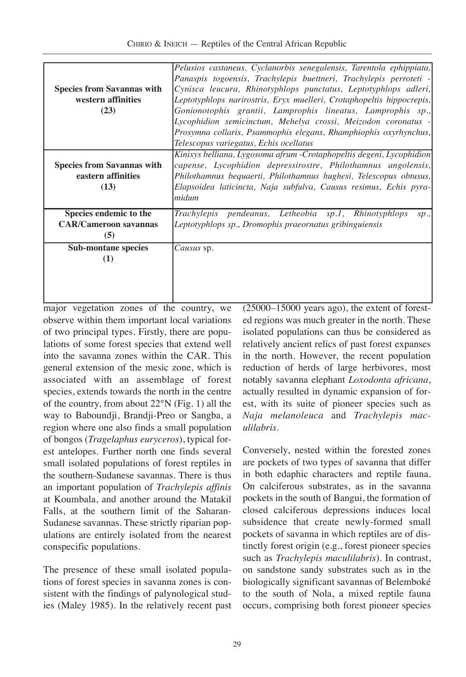| <b>Species from Savannas with</b><br>western affinities<br>(23) | Pelusios castaneus, Cyclanorbis senegalensis, Tarentola ephippiata,<br>Panaspis togoensis, Trachylepis buettneri, Trachylepis perroteti -<br>Cynisca leucura, Rhinotyphlops punctatus, Leptotyphlops adleri,<br>Leptotyphlops narirostris, Eryx muelleri, Crotaphopeltis hippocrepis,<br>Gonionotophis grantii, Lamprophis lineatus, Lamprophis sp.,<br>Lycophidion semicinctum, Mehelya crossi, Meizodon coronatus -<br>Prosymna collaris, Psammophis elegans, Rhamphiophis oxyrhynchus,<br>Telescopus variegatus, Echis ocellatus |
|-----------------------------------------------------------------|-------------------------------------------------------------------------------------------------------------------------------------------------------------------------------------------------------------------------------------------------------------------------------------------------------------------------------------------------------------------------------------------------------------------------------------------------------------------------------------------------------------------------------------|
| <b>Species from Savannas with</b><br>eastern affinities<br>(13) | Kinixys belliana, Lygosoma afrum -Crotaphopeltis degeni, Lycophidion<br>capense, Lycophidion depressirostre, Philothamnus angolensis,<br>Philothamnus bequaerti, Philothamnus hughesi, Telescopus obtusus,<br>Elapsoidea laticincta, Naja subfulva, Causus resimus, Echis pyra-<br>midum                                                                                                                                                                                                                                            |
| Species endemic to the                                          | Trachylepis pendeanus, Letheobia sp.1, Rhinotyphlops<br>sp.,                                                                                                                                                                                                                                                                                                                                                                                                                                                                        |
| <b>CAR/Cameroon savannas</b>                                    | Leptotyphlops sp., Dromophis praeornatus gribinguiensis                                                                                                                                                                                                                                                                                                                                                                                                                                                                             |
| (5)                                                             |                                                                                                                                                                                                                                                                                                                                                                                                                                                                                                                                     |
| <b>Sub-montane species</b>                                      | Causus sp.                                                                                                                                                                                                                                                                                                                                                                                                                                                                                                                          |
| (1)                                                             |                                                                                                                                                                                                                                                                                                                                                                                                                                                                                                                                     |
|                                                                 |                                                                                                                                                                                                                                                                                                                                                                                                                                                                                                                                     |

major vegetation zones of the country, we observe within them important local variations of two principal types. Firstly, there are populations of some forest species that extend well into the savanna zones within the CAR. This general extension of the mesic zone, which is associated with an assemblage of forest species, extends towards the north in the centre of the country, from about 22°N (Fig. 1) all the way to Baboundji, Brandji-Preo or Sangba, a region where one also finds a small population of bongos (*Tragelaphus euryceros*), typical forest antelopes. Further north one finds several small isolated populations of forest reptiles in the southern-Sudanese savannas. There is thus an important population of *Trachylepis affinis* at Koumbala, and another around the Matakil Falls, at the southern limit of the Saharan-Sudanese savannas. These strictly riparian populations are entirely isolated from the nearest conspecific populations.

The presence of these small isolated populations of forest species in savanna zones is consistent with the findings of palynological studies (Maley 1985). In the relatively recent past (25000–15000 years ago), the extent of forested regions was much greater in the north. These isolated populations can thus be considered as relatively ancient relics of past forest expanses in the north. However, the recent population reduction of herds of large herbivores, most notably savanna elephant *Loxodonta africana*, actually resulted in dynamic expansion of forest, with its suite of pioneer species such as *Naja melanoleuca* and *Trachylepis maculilabris*.

Conversely, nested within the forested zones are pockets of two types of savanna that differ in both edaphic characters and reptile fauna. On calciferous substrates, as in the savanna pockets in the south of Bangui, the formation of closed calciferous depressions induces local subsidence that create newly-formed small pockets of savanna in which reptiles are of distinctly forest origin (e.g., forest pioneer species such as *Trachylepis maculilabris*). In contrast, on sandstone sandy substrates such as in the biologically significant savannas of Belemboké to the south of Nola, a mixed reptile fauna occurs, comprising both forest pioneer species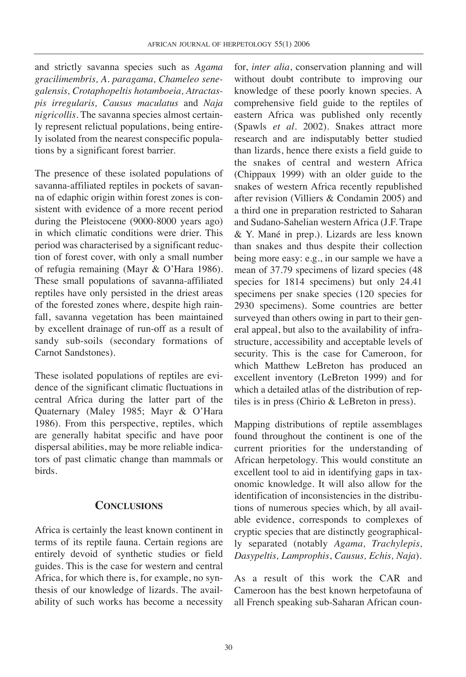and strictly savanna species such as *Agama gracilimembris, A. paragama, Chameleo senegalensis, Crotaphopeltis hotamboeia, Atractaspis irregularis, Causus maculatus* and *Naja nigricollis*. The savanna species almost certainly represent relictual populations, being entirely isolated from the nearest conspecific populations by a significant forest barrier.

The presence of these isolated populations of savanna-affiliated reptiles in pockets of savanna of edaphic origin within forest zones is consistent with evidence of a more recent period during the Pleistocene (9000-8000 years ago) in which climatic conditions were drier. This period was characterised by a significant reduction of forest cover, with only a small number of refugia remaining (Mayr & O'Hara 1986). These small populations of savanna-affiliated reptiles have only persisted in the driest areas of the forested zones where, despite high rainfall, savanna vegetation has been maintained by excellent drainage of run-off as a result of sandy sub-soils (secondary formations of Carnot Sandstones).

These isolated populations of reptiles are evidence of the significant climatic fluctuations in central Africa during the latter part of the Quaternary (Maley 1985; Mayr & O'Hara 1986). From this perspective, reptiles, which are generally habitat specific and have poor dispersal abilities, may be more reliable indicators of past climatic change than mammals or birds.

## **CONCLUSIONS**

Africa is certainly the least known continent in terms of its reptile fauna. Certain regions are entirely devoid of synthetic studies or field guides. This is the case for western and central Africa, for which there is, for example, no synthesis of our knowledge of lizards. The availability of such works has become a necessity

for, *inter alia*, conservation planning and will without doubt contribute to improving our knowledge of these poorly known species. A comprehensive field guide to the reptiles of eastern Africa was published only recently (Spawls *et al.* 2002). Snakes attract more research and are indisputably better studied than lizards, hence there exists a field guide to the snakes of central and western Africa (Chippaux 1999) with an older guide to the snakes of western Africa recently republished after revision (Villiers & Condamin 2005) and a third one in preparation restricted to Saharan and Sudano-Sahelian western Africa (J.F. Trape & Y. Mané in prep.). Lizards are less known than snakes and thus despite their collection being more easy: e.g., in our sample we have a mean of 37.79 specimens of lizard species (48 species for 1814 specimens) but only 24.41 specimens per snake species (120 species for 2930 specimens). Some countries are better surveyed than others owing in part to their general appeal, but also to the availability of infrastructure, accessibility and acceptable levels of security. This is the case for Cameroon, for which Matthew LeBreton has produced an excellent inventory (LeBreton 1999) and for which a detailed atlas of the distribution of reptiles is in press (Chirio & LeBreton in press).

Mapping distributions of reptile assemblages found throughout the continent is one of the current priorities for the understanding of African herpetology. This would constitute an excellent tool to aid in identifying gaps in taxonomic knowledge. It will also allow for the identification of inconsistencies in the distributions of numerous species which, by all available evidence, corresponds to complexes of cryptic species that are distinctly geographically separated (notably *Agama, Trachylepis, Dasypeltis, Lamprophis*, *Causus, Echis, Naja*).

As a result of this work the CAR and Cameroon has the best known herpetofauna of all French speaking sub-Saharan African coun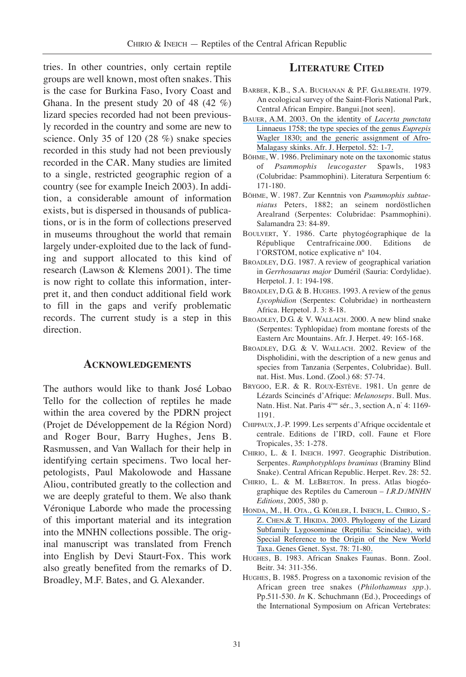tries. In other countries, only certain reptile groups are well known, most often snakes. This is the case for Burkina Faso, Ivory Coast and Ghana. In the present study 20 of 48  $(42 \%)$ lizard species recorded had not been previously recorded in the country and some are new to science. Only 35 of 120 (28 %) snake species recorded in this study had not been previously recorded in the CAR. Many studies are limited to a single, restricted geographic region of a country (see for example Ineich 2003). In addition, a considerable amount of information exists, but is dispersed in thousands of publications, or is in the form of collections preserved in museums throughout the world that remain largely under-exploited due to the lack of funding and support allocated to this kind of research (Lawson & Klemens 2001). The time is now right to collate this information, interpret it, and then conduct additional field work to fill in the gaps and verify problematic records. The current study is a step in this direction.

#### **ACKNOWLEDGEMENTS**

The authors would like to thank José Lobao Tello for the collection of reptiles he made within the area covered by the PDRN project (Projet de Développement de la Région Nord) and Roger Bour, Barry Hughes, Jens B. Rasmussen, and Van Wallach for their help in identifying certain specimens. Two local herpetologists, Paul Makolowode and Hassane Aliou, contributed greatly to the collection and we are deeply grateful to them. We also thank Véronique Laborde who made the processing of this important material and its integration into the MNHN collections possible. The original manuscript was translated from French into English by Devi Staurt-Fox. This work also greatly benefited from the remarks of D. Broadley, M.F. Bates, and G. Alexander.

#### **LITERATURE CITED**

- BARBER, K.B., S.A. BUCHANAN & P.F. GALBREATH. 1979. An ecological survey of the Saint-Floris National Park, Central African Empire. Bangui.[not seen].
- [BAUER, A.M. 2003. On the identity of](https://www.researchgate.net/publication/254240323_On_the_identity_of_Lacerta_punctata_Linnaeus_1758_the_type_species_of_the_genus_Euprepis_Wagler_1830_and_the_generic_assignment_of_Afro-Malagasy_skinks?el=1_x_8&enrichId=rgreq-8b6296acaf6d49d2a09f3bd77ff7e9b9-XXX&enrichSource=Y292ZXJQYWdlOzIzMzM0NTA1ODtBUzoxMDE1NDc5MjA4NTUwNTVAMTQwMTIyMjMyMDAzMA==) *Lacerta punctata* [Linnaeus 1758; the type species of the genus](https://www.researchgate.net/publication/254240323_On_the_identity_of_Lacerta_punctata_Linnaeus_1758_the_type_species_of_the_genus_Euprepis_Wagler_1830_and_the_generic_assignment_of_Afro-Malagasy_skinks?el=1_x_8&enrichId=rgreq-8b6296acaf6d49d2a09f3bd77ff7e9b9-XXX&enrichSource=Y292ZXJQYWdlOzIzMzM0NTA1ODtBUzoxMDE1NDc5MjA4NTUwNTVAMTQwMTIyMjMyMDAzMA==) *Euprepis* [Wagler 1830; and the generic assignment of Afro-](https://www.researchgate.net/publication/254240323_On_the_identity_of_Lacerta_punctata_Linnaeus_1758_the_type_species_of_the_genus_Euprepis_Wagler_1830_and_the_generic_assignment_of_Afro-Malagasy_skinks?el=1_x_8&enrichId=rgreq-8b6296acaf6d49d2a09f3bd77ff7e9b9-XXX&enrichSource=Y292ZXJQYWdlOzIzMzM0NTA1ODtBUzoxMDE1NDc5MjA4NTUwNTVAMTQwMTIyMjMyMDAzMA==)[Malagasy skinks. Afr. J. Herpetol. 52: 1-7.](https://www.researchgate.net/publication/254240323_On_the_identity_of_Lacerta_punctata_Linnaeus_1758_the_type_species_of_the_genus_Euprepis_Wagler_1830_and_the_generic_assignment_of_Afro-Malagasy_skinks?el=1_x_8&enrichId=rgreq-8b6296acaf6d49d2a09f3bd77ff7e9b9-XXX&enrichSource=Y292ZXJQYWdlOzIzMzM0NTA1ODtBUzoxMDE1NDc5MjA4NTUwNTVAMTQwMTIyMjMyMDAzMA==)
- BÖHME, W. 1986. Preliminary note on the taxonomic status of *Psammophis leucogaster* Spawls, 1983 (Colubridae: Psammophini). Literatura Serpentium 6: 171-180.
- BÖHME, W. 1987. Zur Kenntnis von *Psammophis subtaeniatus* Peters, 1882; an seinem nordöstlichen Arealrand (Serpentes: Colubridae: Psammophini). Salamandra 23: 84-89.
- BOULVERT, Y. 1986. Carte phytogéographique de la République Centrafricaine.000. Editions de l'ORSTOM, notice explicative n° 104.
- BROADLEY, D.G. 1987. A review of geographical variation in *Gerrhosaurus major* Duméril (Sauria: Cordylidae). Herpetol. J. 1: 194-198.
- BROADLEY, D.G. & B. HUGHES, 1993. A review of the genus *Lycophidion* (Serpentes: Colubridae) in northeastern Africa. Herpetol. J. 3: 8-18.
- BROADLEY, D.G. & V. WALLACH. 2000. A new blind snake (Serpentes: Typhlopidae) from montane forests of the Eastern Arc Mountains. Afr. J. Herpet. 49: 165-168.
- BROADLEY, D.G. & V. WALLACH. 2002. Review of the Dispholidini, with the description of a new genus and species from Tanzania (Serpentes, Colubridae). Bull. nat. Hist. Mus. Lond. (Zool.) 68: 57-74.
- BRYGOO, E.R. & R. ROUX-ESTÈVE. 1981. Un genre de Lézards Scincinés d'Afrique: *Melanoseps*. Bull. Mus. Natn. Hist. Nat. Paris 4ème sér., 3, section A, n° 4: 1169- 1191.
- CHIPPAUX, J.-P. 1999. Les serpents d'Afrique occidentale et centrale. Editions de l'IRD, coll. Faune et Flore Tropicales, 35: 1-278.
- CHIRIO, L. & I. INEICH. 1997. Geographic Distribution. Serpentes. *Ramphotyphlops braminus* (Braminy Blind Snake). Central African Republic. Herpet. Rev. 28: 52.
- CHIRIO, L. & M. LEBRETON. In press. Atlas biogéographique des Reptiles du Cameroun – *I.R.D./MNHN Editions*, 2005, 380 p.
- [HONDA, M., H. OTA., G. KÖHLER, I. INEICH, L. CHIRIO, S.-](https://www.researchgate.net/publication/7856812_Phylogeny_of_the_Lizard_Subfamily_Lygosominae_Reptilia_Scincidae_with_Special_Reference_to_the_Origin_of_the_New_World_Taxa?el=1_x_8&enrichId=rgreq-8b6296acaf6d49d2a09f3bd77ff7e9b9-XXX&enrichSource=Y292ZXJQYWdlOzIzMzM0NTA1ODtBUzoxMDE1NDc5MjA4NTUwNTVAMTQwMTIyMjMyMDAzMA==) [Z. CHEN.& T. HIKIDA. 2003. Phylogeny of the Lizard](https://www.researchgate.net/publication/7856812_Phylogeny_of_the_Lizard_Subfamily_Lygosominae_Reptilia_Scincidae_with_Special_Reference_to_the_Origin_of_the_New_World_Taxa?el=1_x_8&enrichId=rgreq-8b6296acaf6d49d2a09f3bd77ff7e9b9-XXX&enrichSource=Y292ZXJQYWdlOzIzMzM0NTA1ODtBUzoxMDE1NDc5MjA4NTUwNTVAMTQwMTIyMjMyMDAzMA==) [Subfamily Lygosominae \(Reptilia: Scincidae\), with](https://www.researchgate.net/publication/7856812_Phylogeny_of_the_Lizard_Subfamily_Lygosominae_Reptilia_Scincidae_with_Special_Reference_to_the_Origin_of_the_New_World_Taxa?el=1_x_8&enrichId=rgreq-8b6296acaf6d49d2a09f3bd77ff7e9b9-XXX&enrichSource=Y292ZXJQYWdlOzIzMzM0NTA1ODtBUzoxMDE1NDc5MjA4NTUwNTVAMTQwMTIyMjMyMDAzMA==) [Special Reference to the Origin of the New World](https://www.researchgate.net/publication/7856812_Phylogeny_of_the_Lizard_Subfamily_Lygosominae_Reptilia_Scincidae_with_Special_Reference_to_the_Origin_of_the_New_World_Taxa?el=1_x_8&enrichId=rgreq-8b6296acaf6d49d2a09f3bd77ff7e9b9-XXX&enrichSource=Y292ZXJQYWdlOzIzMzM0NTA1ODtBUzoxMDE1NDc5MjA4NTUwNTVAMTQwMTIyMjMyMDAzMA==) [Taxa. Genes Genet. Syst. 78: 71-80.](https://www.researchgate.net/publication/7856812_Phylogeny_of_the_Lizard_Subfamily_Lygosominae_Reptilia_Scincidae_with_Special_Reference_to_the_Origin_of_the_New_World_Taxa?el=1_x_8&enrichId=rgreq-8b6296acaf6d49d2a09f3bd77ff7e9b9-XXX&enrichSource=Y292ZXJQYWdlOzIzMzM0NTA1ODtBUzoxMDE1NDc5MjA4NTUwNTVAMTQwMTIyMjMyMDAzMA==)
- HUGHES, B. 1983. African Snakes Faunas. Bonn. Zool. Beitr. 34: 311-356.
- HUGHES, B. 1985. Progress on a taxonomic revision of the African green tree snakes (*Philothamnus spp*.). Pp.511-530. *In* K. Schuchmann (Ed.), Proceedings of the International Symposium on African Vertebrates: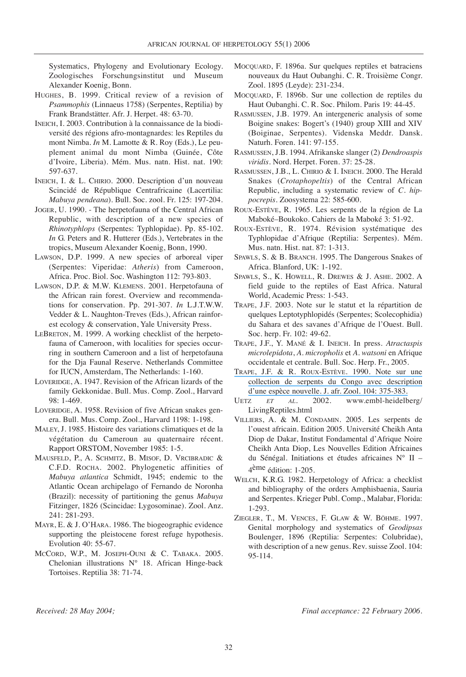Systematics, Phylogeny and Evolutionary Ecology. Zoologisches Forschungsinstitut und Museum Alexander Koenig, Bonn.

- HUGHES, B. 1999. Critical review of a revision of *Psammophis* (Linnaeus 1758) (Serpentes, Reptilia) by Frank Brandstätter. Afr. J. Herpet. 48: 63-70.
- INEICH, I. 2003. Contribution à la connaissance de la biodiversité des régions afro-montagnardes: les Reptiles du mont Nimba. *In* M. Lamotte & R. Roy (Eds.), Le peuplement animal du mont Nimba (Guinée, Côte d'Ivoire, Liberia). Mém. Mus. natn. Hist. nat. 190: 597-637.
- INEICH, I. & L. CHIRIO. 2000. Description d'un nouveau Scincidé de République Centrafricaine (Lacertilia: *Mabuya pendeana*). Bull. Soc. zool. Fr. 125: 197-204.
- JOGER, U. 1990. The herpetofauna of the Central African Republic, with description of a new species of *Rhinotyphlops* (Serpentes: Typhlopidae). Pp. 85-102. *In* G. Peters and R. Hutterer (Eds.), Vertebrates in the tropics, Museum Alexander Koenig, Bonn, 1990.
- LAWSON, D.P. 1999. A new species of arboreal viper (Serpentes: Viperidae: *Atheris*) from Cameroon, Africa. Proc. Biol. Soc. Washington 112: 793-803.
- LAWSON, D.P. & M.W. KLEMENS. 2001. Herpetofauna of the African rain forest. Overview and recommendations for conservation. Pp. 291-307. *In* L.J.T.W.W. Vedder & L. Naughton-Treves (Eds.), African rainforest ecology & conservation, Yale University Press.
- LEBRETON, M. 1999. A working checklist of the herpetofauna of Cameroon, with localities for species occurring in southern Cameroon and a list of herpetofauna for the Dja Faunal Reserve. Netherlands Committee for IUCN, Amsterdam, The Netherlands: 1-160.
- LOVERIDGE, A. 1947. Revision of the African lizards of the family Gekkonidae. Bull. Mus. Comp. Zool., Harvard 98: 1-469.
- LOVERIDGE, A. 1958. Revision of five African snakes genera. Bull. Mus. Comp. Zool., Harvard 1198: 1-198.
- MALEY, J. 1985. Histoire des variations climatiques et de la végétation du Cameroun au quaternaire récent. Rapport ORSTOM, November 1985: 1-5.
- MAUSFELD, P., A. SCHMITZ, B. MISOF, D. VRCIBRADIC & C.F.D. ROCHA. 2002. Phylogenetic affinities of *Mabuya atlantica* Schmidt, 1945; endemic to the Atlantic Ocean archipelago of Fernando de Noronha (Brazil): necessity of partitioning the genus *Mabuya* Fitzinger, 1826 (Scincidae: Lygosominae). Zool. Anz. 241: 281-293.
- MAYR, E. & J. O'HARA. 1986. The biogeographic evidence supporting the pleistocene forest refuge hypothesis. Evolution 40: 55-67.
- MCCORD, W.P., M. JOSEPH-OUNI & C. TABAKA. 2005. Chelonian illustrations N° 18. African Hinge-back Tortoises. Reptilia 38: 71-74.
- MOCQUARD, F. 1896a. Sur quelques reptiles et batraciens nouveaux du Haut Oubanghi. C. R. Troisième Congr. Zool. 1895 (Leyde): 231-234.
- MOCQUARD, F. 1896b. Sur une collection de reptiles du Haut Oubanghi. C. R. Soc. Philom. Paris 19: 44-45.
- RASMUSSEN, J.B. 1979. An intergeneric analysis of some Boigine snakes: Bogert's (1940) group XIII and XIV (Boiginae, Serpentes). Videnska Meddr. Dansk. Naturh. Foren. 141: 97-155.
- RASMUSSEN, J.B. 1994. Afrikanske slanger (2) *Dendroaspis viridis*. Nord. Herpet. Foren. 37: 25-28.
- RASMUSSEN, J.B., L. CHIRIO & I. INEICH. 2000. The Herald Snakes (*Crotaphopeltis*) of the Central African Republic, including a systematic review of *C. hippocrepis*. Zoosystema 22: 585-600.
- ROUX-ESTÈVE, R. 1965. Les serpents de la région de La Maboké–Boukoko. Cahiers de la Maboké 3: 51-92.
- ROUX-ESTÈVE, R. 1974. Révision systématique des Typhlopidae d'Afrique (Reptilia: Serpentes). Mém. Mus. natn. Hist. nat. 87: 1-313.
- SPAWLS, S. & B. BRANCH. 1995. The Dangerous Snakes of Africa. Blanford, UK: 1-192.
- SPAWLS, S., K. HOWELL, R. DREWES & J. ASHE. 2002. A field guide to the reptiles of East Africa. Natural World, Academic Press: 1-543.
- TRAPE, J.F. 2003. Note sur le statut et la répartition de quelques Leptotyphlopidés (Serpentes; Scolecophidia) du Sahara et des savanes d'Afrique de l'Ouest. Bull. Soc. herp. Fr. 102: 49-62.
- TRAPE, J.F., Y. MANÉ & I. INEICH. In press. *Atractaspis microlepidota*, *A. micropholis* et *A. watsoni* en Afrique occidentale et centrale. Bull. Soc. Herp. Fr., 2005.
- [TRAPE, J.F. & R. ROUX-ESTÈVE. 1990. Note sur une](https://www.researchgate.net/publication/32980806_Note_sur_une_collection_de_serpents_du_Congo_avec_description_d) [collection de serpents du Congo avec description](https://www.researchgate.net/publication/32980806_Note_sur_une_collection_de_serpents_du_Congo_avec_description_d) [d'une espèce nouvelle. J. afr. Zool. 104: 375-383.](https://www.researchgate.net/publication/32980806_Note_sur_une_collection_de_serpents_du_Congo_avec_description_d)
- UETZ *ET AL*. 2002. www.embl-heidelberg/ LivingReptiles.html
- VILLIERS, A. & M. CONDAMIN. 2005. Les serpents de l'ouest africain. Edition 2005. Université Cheikh Anta Diop de Dakar, Institut Fondamental d'Afrique Noire Cheikh Anta Diop, Les Nouvelles Edition Africaines du Sénégal. Initiations et études africaines N° II – 4ème édition: 1-205.
- WELCH, K.R.G. 1982. Herpetology of Africa: a checklist and bibliography of the orders Amphisbaenia, Sauria and Serpentes. Krieger Publ. Comp., Malabar, Florida: 1-293.
- ZIEGLER, T., M. VENCES, F. GLAW & W. BÖHME. 1997. Genital morphology and systematics of *Geodipsas* Boulenger, 1896 (Reptilia: Serpentes: Colubridae), with description of a new genus. Rev. suisse Zool. 104: 95-114.

*Received: 28 May 2004; Final acceptance: 22 February 2006.*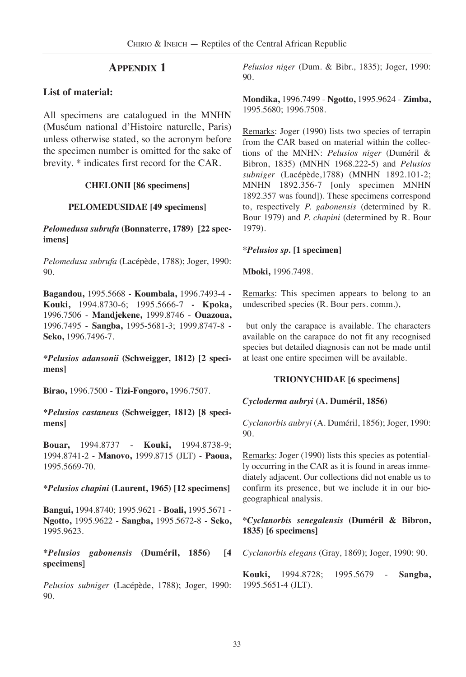## **APPENDIX 1**

## **List of material:**

All specimens are catalogued in the MNHN (Muséum national d'Histoire naturelle, Paris) unless otherwise stated, so the acronym before the specimen number is omitted for the sake of brevity. \* indicates first record for the CAR.

## **CHELONII [86 specimens]**

### **PELOMEDUSIDAE [49 specimens]**

*Pelomedusa subrufa* **(Bonnaterre, 1789) [22 specimens]**

*Pelomedusa subrufa* (Lacépède, 1788); Joger, 1990: 90.

**Bagandou,** 1995.5668 - **Koumbala,** 1996.7493-4 - **Kouki,** 1994.8730-6; 1995.5666-7 **- Kpoka,** 1996.7506 - **Mandjekene,** 1999.8746 - **Ouazoua,** 1996.7495 - **Sangba,** 1995-5681-3; 1999.8747-8 - **Seko,** 1996.7496-7.

*\*Pelusios adansonii* **(Schweigger, 1812) [2 specimens]**

**Birao,** 1996.7500 - **Tizi-Fongoro,** 1996.7507.

**\****Pelusios castaneus* **(Schweigger, 1812) [8 specimens]**

**Bouar,** 1994.8737 - **Kouki,** 1994.8738-9; 1994.8741-2 - **Manovo,** 1999.8715 (JLT) - **Paoua,** 1995.5669-70.

#### **\****Pelusios chapini* **(Laurent, 1965) [12 specimens]**

**Bangui,** 1994.8740; 1995.9621 - **Boali,** 1995.5671 - **Ngotto,** 1995.9622 - **Sangba,** 1995.5672-8 - **Seko,** 1995.9623.

**\****Pelusios gabonensis* **(Duméril, 1856) [4 specimens]**

*Pelusios subniger* (Lacépède, 1788); Joger, 1990: 90.

*Pelusios niger* (Dum. & Bibr., 1835); Joger, 1990: 90.

**Mondika,** 1996.7499 - **Ngotto,** 1995.9624 - **Zimba,** 1995.5680; 1996.7508.

Remarks: Joger (1990) lists two species of terrapin from the CAR based on material within the collections of the MNHN: *Pelusios niger* (Duméril & Bibron, 1835) (MNHN 1968.222-5) and *Pelusios subniger* (Lacépède,1788) (MNHN 1892.101-2; MNHN 1892.356-7 [only specimen MNHN 1892.357 was found]). These specimens correspond to, respectively *P. gabonensis* (determined by R. Bour 1979) and *P. chapini* (determined by R. Bour 1979).

### **\****Pelusios sp.* **[1 specimen]**

**Mboki,** 1996.7498.

Remarks: This specimen appears to belong to an undescribed species (R. Bour pers. comm.),

but only the carapace is available. The characters available on the carapace do not fit any recognised species but detailed diagnosis can not be made until at least one entire specimen will be available.

## **TRIONYCHIDAE [6 specimens]**

## *Cycloderma aubryi* **(A. Duméril, 1856)**

*Cyclanorbis aubryi* (A. Duméril, 1856); Joger, 1990: 90.

Remarks: Joger (1990) lists this species as potentially occurring in the CAR as it is found in areas immediately adjacent. Our collections did not enable us to confirm its presence, but we include it in our biogeographical analysis.

## **\****Cyclanorbis senegalensis* **(Duméril & Bibron, 1835) [6 specimens]**

*Cyclanorbis elegans* (Gray, 1869); Joger, 1990: 90.

**Kouki,** 1994.8728; 1995.5679 - **Sangba,** 1995.5651-4 (JLT).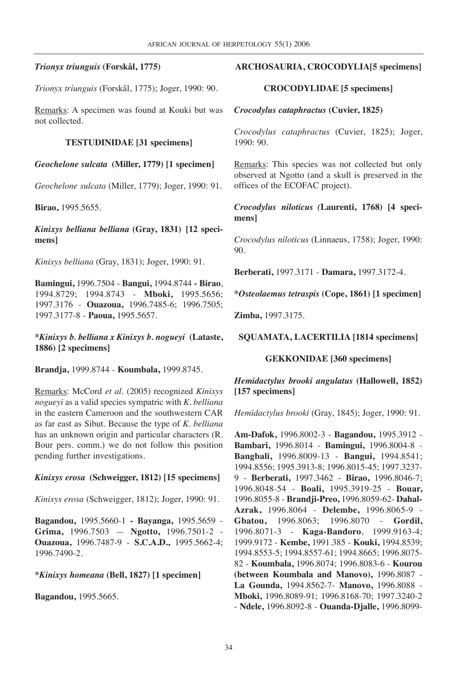## *Trionyx triunguis* **(Forskål, 1775)**

*Trionyx triunguis* (Forskål, 1775); Joger, 1990: 90.

Remarks: A specimen was found at Kouki but was not collected.

### **TESTUDINIDAE [31 specimens]**

*Geochelone sulcata* **(Miller, 1779) [1 specimen]**

*Geochelone sulcata* (Miller, 1779); Joger, 1990: 91.

**Birao,** 1995.5655.

*Kinixys belliana belliana* **(Gray, 1831) [12 specimens]**

*Kinixys belliana* (Gray, 1831); Joger, 1990: 91.

**Bamingui,** 1996.7504 - **Bangui,** 1994.8744 **- Birao**, 1994.8729; 1994.8743 - **Mboki,** 1995.5656; 1997.3176 - **Ouazoua,** 1996.7485-6; 1996.7505; 1997.3177-8 - **Paoua,** 1995.5657.

**\****Kinixys b. belliana x Kinixys b. nogueyi* **(Lataste, 1886) [2 specimens]**

**Brandja,** 1999.8744 - **Koumbala,** 1999.8745.

Remarks: McCord *et al.* (2005) recognized *Kinixys nogueyi* as a valid species sympatric with *K. belliana* in the eastern Cameroon and the southwestern CAR as far east as Sibut. Because the type of *K. belliana* has an unknown origin and particular characters (R. Bour pers. comm.) we do not follow this position pending further investigations.

## *Kinixys erosa* **(Schweigger, 1812) [15 specimens]**

*Kinixys erosa* (Schweigger, 1812); Joger, 1990: 91.

**Bagandou,** 1995.5660-1 **- Bayanga,** 1995.5659 - **Grima,** 1996.7503 — **Ngotto,** 1996.7501-2 - **Ouazoua,** 1996.7487-9 - **S.C.A.D.,** 1995.5662-4; 1996.7490-2.

## **\****Kinixys homeana* **(Bell, 1827) [1 specimen]**

**Bagandou,** 1995.5665.

## **ARCHOSAURIA, CROCODYLIA[5 specimens]**

#### **CROCODYLIDAE [5 specimens]**

*Crocodylus cataphractus* **(Cuvier, 1825)**

*Crocodylus cataphractus* (Cuvier, 1825); Joger, 1990: 90.

Remarks: This species was not collected but only observed at Ngotto (and a skull is preserved in the offices of the ECOFAC project).

*Crocodylus niloticus (***Laurenti, 1768) [4 specimens]**

*Crocodylus niloticus* (Linnaeus, 1758); Joger, 1990: 90.

**Berberati,** 1997.3171 - **Damara,** 1997.3172-4.

**\****Osteolaemus tetraspis* **(Cope, 1861) [1 specimen]**

**Zimba,** 1997.3175.

**SQUAMATA, LACERTILIA [1814 specimens]**

**GEKKONIDAE [360 specimens]**

*Hemidactylus brooki angulatus* **(Hallowell, 1852) [157 specimens]**

*Hemidactylus brooki* (Gray, 1845); Joger, 1990: 91.

**Am-Dafok,** 1996.8002-3 - **Bagandou,** 1995.3912 - **Bambari,** 1996.8014 - **Bamingui,** 1996.8004-8 - **Bangbali,** 1996.8009-13 - **Bangui,** 1994.8541; 1994.8556; 1995.3913-8; 1996.8015-45; 1997.3237- 9 - **Berberati,** 1997.3462 - **Birao,** 1996.8046-7; 1996.8048-54 - **Boali,** 1995.3919-25 - **Bouar,** 1996.8055-8 - **Brandji-Preo,** 1996.8059-62- **Dahal-Azrak,** 1996.8064 - **Delembe,** 1996.8065-9 - **Gbatou,** 1996.8063; 1996.8070 - **Gordil,** 1996.8071-3 - **Kaga-Bandoro**, 1999.9163-4; 1999.9172 - **Kembe,** 1991.385 - **Kouki,** 1994.8539; 1994.8553-5; 1994.8557-61; 1994.8665; 1996.8075- 82 - **Koumbala,** 1996.8074; 1996.8083-6 - **Kourou (between Koumbala and Manovo),** 1996.8087 - **La Gounda,** 1994.8562-7- **Manovo,** 1996.8088 - **Mboki,** 1996.8089-91; 1996.8168-70; 1997.3240-2 - **Ndele,** 1996.8092-8 - **Ouanda-Djalle,** 1996.8099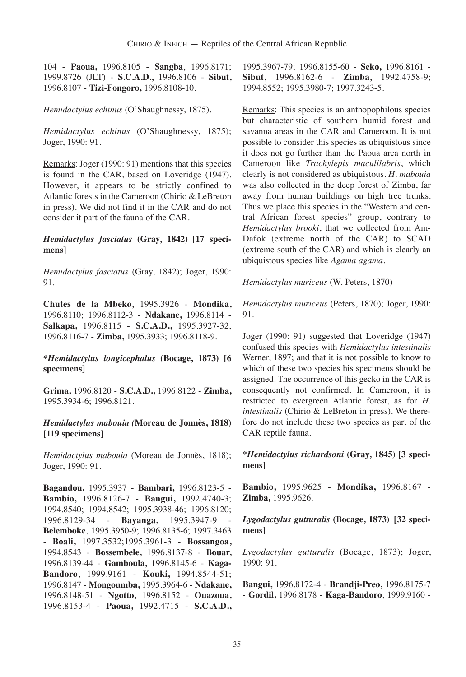104 - **Paoua,** 1996.8105 - **Sangba**, 1996.8171; 1999.8726 (JLT) - **S.C.A.D.,** 1996.8106 - **Sibut,** 1996.8107 - **Tizi-Fongoro,** 1996.8108-10.

*Hemidactylus echinus* (O'Shaughnessy, 1875).

*Hemidactylus echinus* (O'Shaughnessy, 1875); Joger, 1990: 91.

Remarks: Joger (1990: 91) mentions that this species is found in the CAR, based on Loveridge (1947). However, it appears to be strictly confined to Atlantic forests in the Cameroon (Chirio & LeBreton in press). We did not find it in the CAR and do not consider it part of the fauna of the CAR.

### *Hemidactylus fasciatus* **(Gray, 1842) [17 specimens]**

*Hemidactylus fasciatus* (Gray, 1842); Joger, 1990: 91.

**Chutes de la Mbeko,** 1995.3926 - **Mondika,** 1996.8110; 1996.8112-3 - **Ndakane,** 1996.8114 - **Salkapa,** 1996.8115 - **S.C.A.D.,** 1995.3927-32; 1996.8116-7 - **Zimba,** 1995.3933; 1996.8118-9.

### *\*Hemidactylus longicephalus* **(Bocage, 1873) [6 specimens]**

**Grima,** 1996.8120 - **S.C.A.D.,** 1996.8122 - **Zimba,** 1995.3934-6; 1996.8121.

## *Hemidactylus mabouia (***Moreau de Jonnès, 1818) [119 specimens]**

*Hemidactylus mabouia* (Moreau de Jonnès, 1818); Joger, 1990: 91.

**Bagandou,** 1995.3937 - **Bambari,** 1996.8123-5 - **Bambio,** 1996.8126-7 - **Bangui,** 1992.4740-3; 1994.8540; 1994.8542; 1995.3938-46; 1996.8120; 1996.8129-34 - **Bayanga,** 1995.3947-9 - **Belemboke**, 1995.3950-9; 1996.8135-6; 1997.3463 - **Boali,** 1997.3532;1995.3961-3 - **Bossangoa,** 1994.8543 - **Bossembele,** 1996.8137-8 - **Bouar,** 1996.8139-44 - **Gamboula,** 1996.8145-6 - **Kaga-Bandoro**, 1999.9161 - **Kouki,** 1994.8544-51; 1996.8147 - **Mongoumba,** 1995.3964-6 - **Ndakane,** 1996.8148-51 - **Ngotto,** 1996.8152 - **Ouazoua,** 1996.8153-4 - **Paoua,** 1992.4715 - **S.C.A.D.,**

1995.3967-79; 1996.8155-60 - **Seko,** 1996.8161 - **Sibut,** 1996.8162-6 - **Zimba,** 1992.4758-9; 1994.8552; 1995.3980-7; 1997.3243-5.

Remarks: This species is an anthopophilous species but characteristic of southern humid forest and savanna areas in the CAR and Cameroon. It is not possible to consider this species as ubiquistous since it does not go further than the Paoua area north in Cameroon like *Trachylepis maculilabris*, which clearly is not considered as ubiquistous. *H. mabouia* was also collected in the deep forest of Zimba, far away from human buildings on high tree trunks. Thus we place this species in the "Western and central African forest species" group, contrary to *Hemidactylus brooki*, that we collected from Am-Dafok (extreme north of the CAR) to SCAD (extreme south of the CAR) and which is clearly an ubiquistous species like *Agama agama*.

*Hemidactylus muriceus* (W. Peters, 1870)

*Hemidactylus muriceus* (Peters, 1870); Joger, 1990: 91.

Joger (1990: 91) suggested that Loveridge (1947) confused this species with *Hemidactylus intestinalis* Werner, 1897; and that it is not possible to know to which of these two species his specimens should be assigned. The occurrence of this gecko in the CAR is consequently not confirmed. In Cameroon, it is restricted to evergreen Atlantic forest, as for *H. intestinalis* (Chirio & LeBreton in press). We therefore do not include these two species as part of the CAR reptile fauna.

**\****Hemidactylus richardsoni* **(Gray, 1845) [3 specimens]**

**Bambio,** 1995.9625 - **Mondika,** 1996.8167 - **Zimba,** 1995.9626.

*Lygodactylus gutturalis* **(Bocage, 1873) [32 specimens]**

*Lygodactylus gutturalis* (Bocage, 1873); Joger, 1990: 91.

**Bangui,** 1996.8172-4 - **Brandji-Preo,** 1996.8175-7 - **Gordil,** 1996.8178 - **Kaga-Bandoro**, 1999.9160 -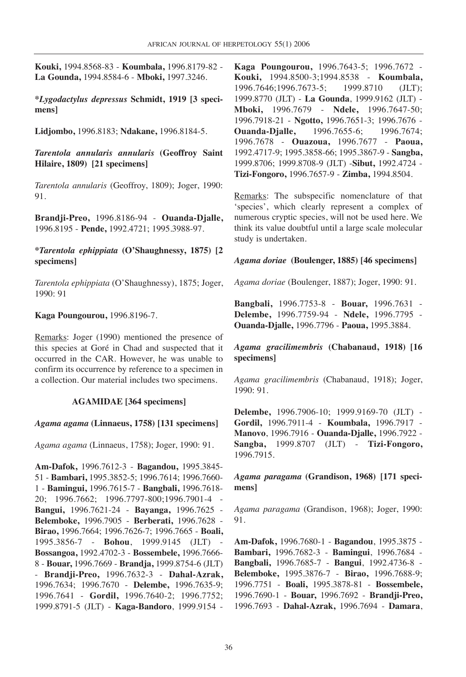**Kouki,** 1994.8568-83 - **Koumbala,** 1996.8179-82 - **La Gounda,** 1994.8584-6 - **Mboki,** 1997.3246.

**\****Lygodactylus depressus* **Schmidt, 1919 [3 specimens]**

**Lidjombo,** 1996.8183; **Ndakane,** 1996.8184-5.

*Tarentola annularis annularis* **(Geoffroy Saint Hilaire, 1809) [21 specimens]**

*Tarentola annularis* (Geoffroy, 1809); Joger, 1990: 91.

**Brandji-Preo,** 1996.8186-94 - **Ouanda-Djalle,** 1996.8195 - **Pende,** 1992.4721; 1995.3988-97.

## **\****Tarentola ephippiata* **(O'Shaughnessy, 1875) [2 specimens]**

*Tarentola ephippiata* (O'Shaughnessy), 1875; Joger, 1990: 91

### **Kaga Poungourou,** 1996.8196-7.

Remarks: Joger (1990) mentioned the presence of this species at Goré in Chad and suspected that it occurred in the CAR. However, he was unable to confirm its occurrence by reference to a specimen in a collection. Our material includes two specimens.

#### **AGAMIDAE [364 specimens]**

## *Agama agama* **(Linnaeus, 1758) [131 specimens]**

*Agama agama* (Linnaeus, 1758); Joger, 1990: 91.

**Am-Dafok,** 1996.7612-3 - **Bagandou,** 1995.3845- 51 - **Bambari,** 1995.3852-5; 1996.7614; 1996.7660- 1 - **Bamingui,** 1996.7615-7 - **Bangbali,** 1996.7618- 20; 1996.7662; 1996.7797-800;1996.7901-4 - **Bangui,** 1996.7621-24 - **Bayanga,** 1996.7625 - **Belemboke,** 1996.7905 - **Berberati,** 1996.7628 - **Birao,** 1996.7664; 1996.7626-7; 1996.7665 - **Boali,** 1995.3856-7 - **Bohou**, 1999.9145 (JLT) - **Bossangoa,** 1992.4702-3 - **Bossembele,** 1996.7666- 8 - **Bouar,** 1996.7669 - **Brandja,** 1999.8754-6 (JLT) - **Brandji-Preo,** 1996.7632-3 - **Dahal-Azrak,** 1996.7634; 1996.7670 - **Delembe,** 1996.7635-9; 1996.7641 - **Gordil,** 1996.7640-2; 1996.7752; 1999.8791-5 (JLT) - **Kaga-Bandoro**, 1999.9154 - **Kaga Poungourou,** 1996.7643-5; 1996.7672 - **Kouki,** 1994.8500-3;1994.8538 - **Koumbala,** 1996.7646;1996.7673-5; 1999.8710 (JLT); 1999.8770 (JLT) - **La Gounda**, 1999.9162 (JLT) - **Mboki,** 1996.7679 - **Ndele,** 1996.7647-50; 1996.7918-21 - **Ngotto,** 1996.7651-3; 1996.7676 - **Ouanda-Djalle,** 1996.7655-6; 1996.7674; 1996.7678 - **Ouazoua,** 1996.7677 - **Paoua,** 1992.4717-9; 1995.3858-66; 1995.3867-9 - **Sangba,** 1999.8706; 1999.8708-9 (JLT) -**Sibut,** 1992.4724 - **Tizi-Fongoro,** 1996.7657-9 - **Zimba,** 1994.8504.

Remarks: The subspecific nomenclature of that 'species', which clearly represent a complex of numerous cryptic species, will not be used here. We think its value doubtful until a large scale molecular study is undertaken.

#### *Agama doriae* **(Boulenger, 1885) [46 specimens]**

*Agama doriae* (Boulenger, 1887); Joger, 1990: 91.

**Bangbali,** 1996.7753-8 - **Bouar,** 1996.7631 - **Delembe,** 1996.7759-94 - **Ndele,** 1996.7795 - **Ouanda-Djalle,** 1996.7796 - **Paoua,** 1995.3884.

*Agama gracilimembris* **(Chabanaud, 1918) [16 specimens]**

*Agama gracilimembris* (Chabanaud, 1918); Joger, 1990: 91.

**Delembe,** 1996.7906-10; 1999.9169-70 (JLT) - **Gordil,** 1996.7911-4 - **Koumbala,** 1996.7917 - **Manovo**, 1996.7916 - **Ouanda-Djalle,** 1996.7922 - **Sangba,** 1999.8707 (JLT) - **Tizi-Fongoro,** 1996.7915.

*Agama paragama* **(Grandison, 1968) [171 specimens]**

*Agama paragama* (Grandison, 1968); Joger, 1990: 91.

**Am-Dafok,** 1996.7680-1 - **Bagandou**, 1995.3875 - **Bambari,** 1996.7682-3 - **Bamingui**, 1996.7684 - **Bangbali,** 1996.7685-7 - **Bangui**, 1992.4736-8 - **Belemboke,** 1995.3876-7 - **Birao,** 1996.7688-9; 1996.7751 - **Boali,** 1995.3878-81 - **Bossembele,** 1996.7690-1 - **Bouar,** 1996.7692 - **Brandji-Preo,** 1996.7693 - **Dahal-Azrak,** 1996.7694 - **Damara**,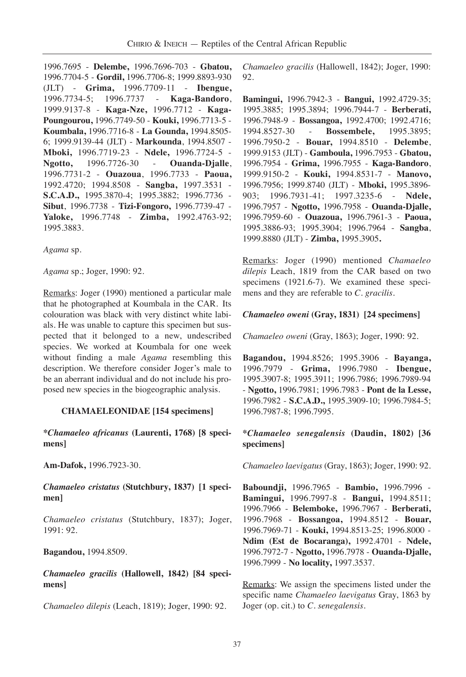1996.7695 - **Delembe,** 1996.7696-703 - **Gbatou,** 1996.7704-5 - **Gordil,** 1996.7706-8; 1999.8893-930 (JLT) - **Grima,** 1996.7709-11 - **Ibengue,** 1996.7734-5; 1996.7737 - **Kaga-Bandoro**, 1999.9137-8 - **Kaga-Nze,** 1996.7712 - **Kaga-Poungourou,** 1996.7749-50 - **Kouki,** 1996.7713-5 - **Koumbala,** 1996.7716-8 - **La Gounda,** 1994.8505- 6; 1999.9139-44 (JLT) - **Markounda**, 1994.8507 - **Mboki,** 1996.7719-23 - **Ndele,** 1996.7724-5 - **Ngotto,** 1996.7726-30 - **Ouanda-Djalle**, 1996.7731-2 - **Ouazoua**, 1996.7733 - **Paoua,** 1992.4720; 1994.8508 - **Sangba,** 1997.3531 - **S.C.A.D.,** 1995.3870-4; 1995.3882; 1996.7736 - **Sibut**, 1996.7738 - **Tizi-Fongoro,** 1996.7739-47 - **Yaloke,** 1996.7748 - **Zimba,** 1992.4763-92; 1995.3883.

*Agama* sp.

*Agama* sp.; Joger, 1990: 92.

Remarks: Joger (1990) mentioned a particular male that he photographed at Koumbala in the CAR. Its colouration was black with very distinct white labials. He was unable to capture this specimen but suspected that it belonged to a new, undescribed species. We worked at Koumbala for one week without finding a male *Agama* resembling this description. We therefore consider Joger's male to be an aberrant individual and do not include his proposed new species in the biogeographic analysis.

#### **CHAMAELEONIDAE [154 specimens]**

**\****Chamaeleo africanus* **(Laurenti, 1768) [8 specimens]**

**Am-Dafok,** 1996.7923-30.

*Chamaeleo cristatus* **(Stutchbury, 1837) [1 specimen]**

*Chamaeleo cristatus* (Stutchbury, 1837); Joger, 1991: 92.

**Bagandou,** 1994.8509.

*Chamaeleo gracilis* **(Hallowell, 1842) [84 specimens]**

*Chamaeleo dilepis* (Leach, 1819); Joger, 1990: 92.

*Chamaeleo gracilis* (Hallowell, 1842); Joger, 1990: 92.

**Bamingui,** 1996.7942-3 - **Bangui,** 1992.4729-35; 1995.3885; 1995.3894; 1996.7944-7 - **Berberati,** 1996.7948-9 - **Bossangoa,** 1992.4700; 1992.4716; 1994.8527-30 - **Bossembele,** 1995.3895; 1996.7950-2 - **Bouar,** 1994.8510 - **Delembe**, 1999.9153 (JLT) - **Gamboula,** 1996.7953 - **Gbatou,** 1996.7954 - **Grima,** 1996.7955 - **Kaga-Bandoro**, 1999.9150-2 - **Kouki,** 1994.8531-7 - **Manovo,** 1996.7956; 1999.8740 (JLT) - **Mboki,** 1995.3896- 903; 1996.7931-41; 1997.3235-6 - **Ndele,** 1996.7957 - **Ngotto,** 1996.7958 - **Ouanda-Djalle,** 1996.7959-60 - **Ouazoua,** 1996.7961-3 - **Paoua,** 1995.3886-93; 1995.3904; 1996.7964 - **Sangba**, 1999.8880 (JLT) - **Zimba,** 1995.3905**.**

Remarks: Joger (1990) mentioned *Chamaeleo dilepis* Leach, 1819 from the CAR based on two specimens (1921.6-7). We examined these specimens and they are referable to *C. gracilis*.

## *Chamaeleo oweni* **(Gray, 1831) [24 specimens]**

*Chamaeleo oweni* (Gray, 1863); Joger, 1990: 92.

**Bagandou,** 1994.8526; 1995.3906 - **Bayanga,** 1996.7979 - **Grima,** 1996.7980 - **Ibengue,** 1995.3907-8; 1995.3911; 1996.7986; 1996.7989-94 - **Ngotto,** 1996.7981; 1996.7983 - **Pont de la Lesse,** 1996.7982 - **S.C.A.D.,** 1995.3909-10; 1996.7984-5; 1996.7987-8; 1996.7995.

### **\****Chamaeleo senegalensis* **(Daudin, 1802) [36 specimens]**

*Chamaeleo laevigatus* (Gray, 1863); Joger, 1990: 92.

**Baboundji,** 1996.7965 - **Bambio,** 1996.7996 - **Bamingui,** 1996.7997-8 - **Bangui,** 1994.8511; 1996.7966 - **Belemboke,** 1996.7967 - **Berberati,** 1996.7968 - **Bossangoa,** 1994.8512 - **Bouar,** 1996.7969-71 - **Kouki,** 1994.8513-25; 1996.8000 - **Ndim (Est de Bocaranga),** 1992.4701 - **Ndele,** 1996.7972-7 - **Ngotto,** 1996.7978 - **Ouanda-Djalle,** 1996.7999 - **No locality,** 1997.3537.

Remarks: We assign the specimens listed under the specific name *Chamaeleo laevigatus* Gray, 1863 by Joger (op. cit.) to *C. senegalensis*.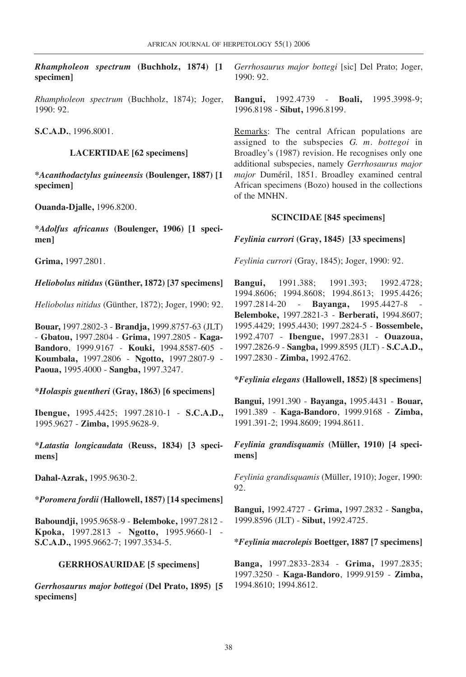*Rhampholeon spectrum* **(Buchholz, 1874) [1 specimen]**

*Rhampholeon spectrum* (Buchholz, 1874); Joger, 1990: 92.

**S.C.A.D.**, 1996.8001.

## **LACERTIDAE [62 specimens]**

**\****Acanthodactylus guineensis* **(Boulenger, 1887) [1 specimen]**

**Ouanda-Djalle,** 1996.8200.

**\****Adolfus africanus* **(Boulenger, 1906) [1 specimen]**

**Grima,** 1997.2801.

## *Heliobolus nitidus* **(Günther, 1872) [37 specimens]**

*Heliobolus nitidus* (Günther, 1872); Joger, 1990: 92.

**Bouar,** 1997.2802-3 - **Brandja,** 1999.8757-63 (JLT) - **Gbatou,** 1997.2804 - **Grima,** 1997.2805 - **Kaga-Bandoro**, 1999.9167 - **Kouki,** 1994.8587-605 - **Koumbala,** 1997.2806 - **Ngotto,** 1997.2807-9 - **Paoua,** 1995.4000 - **Sangba,** 1997.3247.

**\****Holaspis guentheri* **(Gray, 1863) [6 specimens]**

**Ibengue,** 1995.4425; 1997.2810-1 - **S.C.A.D.,** 1995.9627 - **Zimba,** 1995.9628-9.

**\****Latastia longicaudata* **(Reuss, 1834) [3 specimens]**

**Dahal-Azrak,** 1995.9630-2.

**\****Poromera fordii (***Hallowell, 1857) [14 specimens]**

**Baboundji,** 1995.9658-9 - **Belemboke,** 1997.2812 - **Kpoka,** 1997.2813 - **Ngotto,** 1995.9660-1 - **S.C.A.D.,** 1995.9662-7; 1997.3534-5.

## **GERRHOSAURIDAE [5 specimens]**

*Gerrhosaurus major bottegoi* **(Del Prato, 1895) [5 specimens]**

*Gerrhosaurus major bottegi* [sic] Del Prato; Joger, 1990: 92.

**Bangui,** 1992.4739 - **Boali,** 1995.3998-9; 1996.8198 - **Sibut,** 1996.8199.

Remarks: The central African populations are assigned to the subspecies *G. m. bottegoi* in Broadley's (1987) revision. He recognises only one additional subspecies, namely *Gerrhosaurus major major* Duméril, 1851. Broadley examined central African specimens (Bozo) housed in the collections of the MNHN.

## **SCINCIDAE [845 specimens]**

## *Feylinia currori* **(Gray, 1845) [33 specimens]**

*Feylinia currori* (Gray, 1845); Joger, 1990: 92.

**Bangui,** 1991.388; 1991.393; 1992.4728; 1994.8606; 1994.8608; 1994.8613; 1995.4426; 1997.2814-20 - **Bayanga,** 1995.4427-8 - **Belemboke,** 1997.2821-3 - **Berberati,** 1994.8607; 1995.4429; 1995.4430; 1997.2824-5 - **Bossembele,** 1992.4707 - **Ibengue,** 1997.2831 - **Ouazoua,** 1997.2826-9 - **Sangba,** 1999.8595 (JLT) - **S.C.A.D.,** 1997.2830 - **Zimba,** 1992.4762.

**\****Feylinia elegans* **(Hallowell, 1852) [8 specimens]**

**Bangui,** 1991.390 - **Bayanga,** 1995.4431 - **Bouar,** 1991.389 - **Kaga-Bandoro**, 1999.9168 - **Zimba,** 1991.391-2; 1994.8609; 1994.8611.

*Feylinia grandisquamis* **(Müller, 1910) [4 specimens]**

*Feylinia grandisquamis* (Müller, 1910); Joger, 1990: 92.

**Bangui,** 1992.4727 - **Grima,** 1997.2832 - **Sangba,** 1999.8596 (JLT) - **Sibut,** 1992.4725.

## **\****Feylinia macrolepis* **Boettger, 1887 [7 specimens]**

**Banga,** 1997.2833-2834 - **Grima,** 1997.2835; 1997.3250 - **Kaga-Bandoro**, 1999.9159 - **Zimba,** 1994.8610; 1994.8612.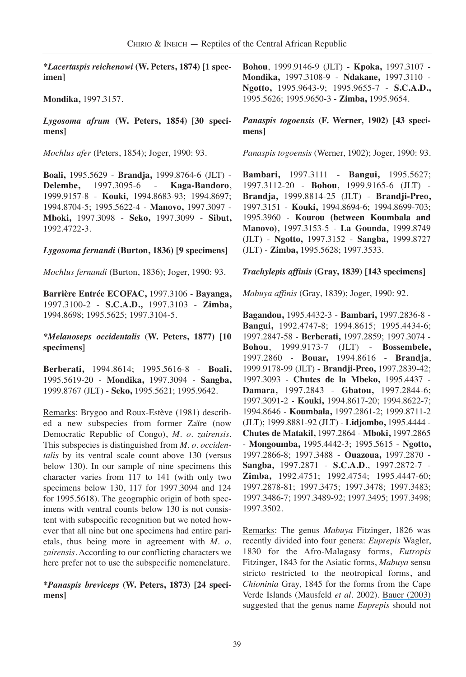**\****Lacertaspis reichenowi* **(W. Peters, 1874) [1 specimen]**

**Mondika,** 1997.3157.

*Lygosoma afrum* **(W. Peters, 1854) [30 specimens]**

*Mochlus afer* (Peters, 1854); Joger, 1990: 93.

**Boali,** 1995.5629 - **Brandja,** 1999.8764-6 (JLT) - **Delembe,** 1997.3095-6 - **Kaga-Bandoro**, 1999.9157-8 - **Kouki,** 1994.8683-93; 1994.8697; 1994.8704-5; 1995.5622-4 - **Manovo,** 1997.3097 - **Mboki,** 1997.3098 - **Seko,** 1997.3099 - **Sibut,** 1992.4722-3.

## *Lygosoma fernandi* **(Burton, 1836) [9 specimens]**

*Mochlus fernandi* (Burton, 1836); Joger, 1990: 93.

**Barrière Entrée ECOFAC,** 1997.3106 - **Bayanga,** 1997.3100-2 - **S.C.A.D.,** 1997.3103 - **Zimba,** 1994.8698; 1995.5625; 1997.3104-5.

### *\*Melanoseps occidentalis* **(W. Peters, 1877) [10 specimens]**

**Berberati,** 1994.8614; 1995.5616-8 - **Boali,** 1995.5619-20 - **Mondika,** 1997.3094 - **Sangba,** 1999.8767 (JLT) - **Seko,** 1995.5621; 1995.9642.

Remarks: Brygoo and Roux-Estève (1981) described a new subspecies from former Zaïre (now Democratic Republic of Congo), *M. o. zairensis*. This subspecies is distinguished from *M. o. occidentalis* by its ventral scale count above 130 (versus below 130). In our sample of nine specimens this character varies from 117 to 141 (with only two specimens below 130, 117 for 1997.3094 and 124 for 1995.5618). The geographic origin of both specimens with ventral counts below 130 is not consistent with subspecific recognition but we noted however that all nine but one specimens had entire parietals, thus being more in agreement with *M. o. zairensis*. According to our conflicting characters we here prefer not to use the subspecific nomenclature.

**\****Panaspis breviceps* **(W. Peters, 1873) [24 specimens]**

**Bohou**, 1999.9146-9 (JLT) - **Kpoka,** 1997.3107 - **Mondika,** 1997.3108-9 - **Ndakane,** 1997.3110 - **Ngotto,** 1995.9643-9; 1995.9655-7 - **S.C.A.D.,** 1995.5626; 1995.9650-3 - **Zimba,** 1995.9654.

## *Panaspis togoensis* **(F. Werner, 1902) [43 specimens]**

*Panaspis togoensis* (Werner, 1902); Joger, 1990: 93.

**Bambari,** 1997.3111 - **Bangui,** 1995.5627; 1997.3112-20 - **Bohou**, 1999.9165-6 (JLT) - **Brandja,** 1999.8814-25 (JLT) - **Brandji-Preo,** 1997.3151 - **Kouki,** 1994.8694-6; 1994.8699-703; 1995.3960 - **Kourou (between Koumbala and Manovo),** 1997.3153-5 - **La Gounda,** 1999.8749 (JLT) - **Ngotto,** 1997.3152 - **Sangba,** 1999.8727 (JLT) - **Zimba,** 1995.5628; 1997.3533.

## *Trachylepis affinis* **(Gray, 1839) [143 specimens]**

*Mabuya affinis* (Gray, 1839); Joger, 1990: 92.

**Bagandou,** 1995.4432-3 - **Bambari,** 1997.2836-8 - **Bangui,** 1992.4747-8; 1994.8615; 1995.4434-6; 1997.2847-58 - **Berberati,** 1997.2859; 1997.3074 - **Bohou**, 1999.9173-7 (JLT) - **Bossembele,** 1997.2860 - **Bouar,** 1994.8616 - **Brandja**, 1999.9178-99 (JLT) - **Brandji-Preo,** 1997.2839-42; 1997.3093 - **Chutes de la Mbeko,** 1995.4437 - **Damara,** 1997.2843 - **Gbatou,** 1997.2844-6; 1997.3091-2 - **Kouki,** 1994.8617-20; 1994.8622-7; 1994.8646 - **Koumbala,** 1997.2861-2; 1999.8711-2 (JLT); 1999.8881-92 (JLT) - **Lidjombo,** 1995.4444 - **Chutes de Matakil,** 1997.2864 - **Mboki,** 1997.2865 - **Mongoumba,** 1995.4442-3; 1995.5615 - **Ngotto,** 1997.2866-8; 1997.3488 - **Ouazoua,** 1997.2870 - **Sangba,** 1997.2871 - **S.C.A.D**., 1997.2872-7 - **Zimba,** 1992.4751; 1992.4754; 1995.4447-60; 1997.2878-81; 1997.3475; 1997.3478; 1997.3483; 1997.3486-7; 1997.3489-92; 1997.3495; 1997.3498; 1997.3502.

Remarks: The genus *Mabuya* Fitzinger, 1826 was recently divided into four genera: *Euprepis* Wagler, 1830 for the Afro-Malagasy forms, *Eutropis* Fitzinger, 1843 for the Asiatic forms, *Mabuya* sensu stricto restricted to the neotropical forms, and *Chioninia* Gray, 1845 for the forms from the Cape Verde Islands (Mausfeld *et al.* 2002). [Bauer \(2003\)](https://www.researchgate.net/publication/254240323_On_the_identity_of_Lacerta_punctata_Linnaeus_1758_the_type_species_of_the_genus_Euprepis_Wagler_1830_and_the_generic_assignment_of_Afro-Malagasy_skinks?el=1_x_8&enrichId=rgreq-8b6296acaf6d49d2a09f3bd77ff7e9b9-XXX&enrichSource=Y292ZXJQYWdlOzIzMzM0NTA1ODtBUzoxMDE1NDc5MjA4NTUwNTVAMTQwMTIyMjMyMDAzMA==) suggested that the genus name *Euprepis* should not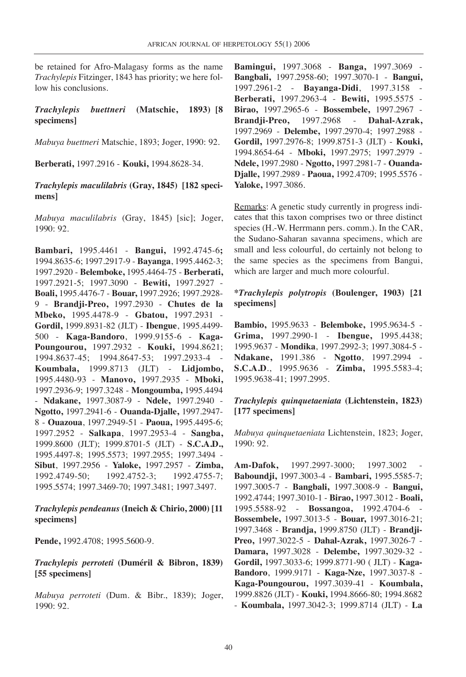be retained for Afro-Malagasy forms as the name *Trachylepis* Fitzinger, 1843 has priority; we here follow his conclusions.

## *Trachylepis buettneri* **(Matschie, 1893) [8 specimens]**

*Mabuya buettneri* Matschie, 1893; Joger, 1990: 92.

**Berberati,** 1997.2916 - **Kouki,** 1994.8628-34.

#### *Trachylepis maculilabris* **(Gray, 1845) [182 specimens]**

*Mabuya maculilabris* (Gray, 1845) [sic]; Joger, 1990: 92.

**Bambari,** 1995.4461 - **Bangui,** 1992.4745-6**;** 1994.8635-6; 1997.2917-9 - **Bayanga**, 1995.4462-3; 1997.2920 - **Belemboke,** 1995.4464-75 - **Berberati,** 1997.2921-5; 1997.3090 - **Bewiti,** 1997.2927 - **Boali,** 1995.4476-7 - **Bouar,** 1997.2926; 1997.2928- 9 - **Brandji-Preo,** 1997.2930 - **Chutes de la Mbeko,** 1995.4478-9 - **Gbatou,** 1997.2931 - **Gordil,** 1999.8931-82 (JLT) - **Ibengue**, 1995.4499- 500 - **Kaga-Bandoro**, 1999.9155-6 - **Kaga-Poungourou,** 1997.2932 - **Kouki,** 1994.8621; 1994.8637-45; 1994.8647-53; 1997.2933-4 - **Koumbala,** 1999.8713 (JLT) - **Lidjombo,** 1995.4480-93 - **Manovo,** 1997.2935 - **Mboki,** 1997.2936-9; 1997.3248 - **Mongoumba,** 1995.4494 - **Ndakane,** 1997.3087-9 - **Ndele,** 1997.2940 - **Ngotto,** 1997.2941-6 - **Ouanda-Djalle,** 1997.2947- 8 - **Ouazoua**, 1997.2949-51 - **Paoua,** 1995.4495-6; 1997.2952 - **Salkapa**, 1997.2953-4 - **Sangba,** 1999.8600 (JLT); 1999.8701-5 (JLT) - **S.C.A.D.,** 1995.4497-8; 1995.5573; 1997.2955; 1997.3494 - **Sibut**, 1997.2956 - **Yaloke,** 1997.2957 - **Zimba,** 1992.4749-50; 1992.4752-3; 1992.4755-7; 1995.5574; 1997.3469-70; 1997.3481; 1997.3497.

### *Trachylepis pendeanus* **(Ineich & Chirio, 2000) [11 specimens]**

**Pende,** 1992.4708; 1995.5600-9.

*Trachylepis perroteti* **(Duméril & Bibron, 1839) [55 specimens]**

*Mabuya perroteti* (Dum. & Bibr., 1839); Joger, 1990: 92.

**Bamingui,** 1997.3068 - **Banga,** 1997.3069 - **Bangbali,** 1997.2958-60; 1997.3070-1 - **Bangui,** 1997.2961-2 - **Bayanga-Didi**, 1997.3158 - **Berberati,** 1997.2963-4 - **Bewiti,** 1995.5575 - **Birao,** 1997.2965-6 - **Bossembele,** 1997.2967 - **Brandji-Preo,** 1997.2968 - **Dahal-Azrak,** 1997.2969 - **Delembe,** 1997.2970-4; 1997.2988 - **Gordil,** 1997.2976-8; 1999.8751-3 (JLT) - **Kouki,** 1994.8654-64 - **Mboki,** 1997.2975; 1997.2979 - **Ndele,** 1997.2980 - **Ngotto,** 1997.2981-7 - **Ouanda-Djalle,** 1997.2989 - **Paoua,** 1992.4709; 1995.5576 - **Yaloke,** 1997.3086.

Remarks: A genetic study currently in progress indicates that this taxon comprises two or three distinct species (H.-W. Herrmann pers. comm.). In the CAR, the Sudano-Saharan savanna specimens, which are small and less colourful, do certainly not belong to the same species as the specimens from Bangui, which are larger and much more colourful.

## **\****Trachylepis polytropis* **(Boulenger, 1903) [21 specimens]**

**Bambio,** 1995.9633 - **Belemboke,** 1995.9634-5 - **Grima,** 1997.2990-1 - **Ibengue,** 1995.4438; 1995.9637 - **Mondika**, 1997.2992-3; 1997.3084-5 - **Ndakane,** 1991.386 - **Ngotto**, 1997.2994 - **S.C.A.D**., 1995.9636 - **Zimba,** 1995.5583-4; 1995.9638-41; 1997.2995.

## *Trachylepis quinquetaeniata* **(Lichtenstein, 1823) [177 specimens]**

*Mabuya quinquetaeniata* Lichtenstein, 1823; Joger, 1990: 92.

**Am-Dafok,** 1997.2997-3000; 1997.3002 - **Baboundji,** 1997.3003-4 - **Bambari,** 1995.5585-7; 1997.3005-7 - **Bangbali,** 1997.3008-9 - **Bangui,** 1992.4744; 1997.3010-1 - **Birao,** 1997.3012 - **Boali,** 1995.5588-92 - **Bossangoa,** 1992.4704-6 - **Bossembele,** 1997.3013-5 - **Bouar,** 1997.3016-21; 1997.3468 - **Brandja,** 1999.8750 (JLT) - **Brandji-Preo,** 1997.3022-5 - **Dahal-Azrak,** 1997.3026-7 - **Damara,** 1997.3028 - **Delembe,** 1997.3029-32 - **Gordil,** 1997.3033-6; 1999.8771-90 ( JLT) - **Kaga-Bandoro**, 1999.9171 - **Kaga-Nze,** 1997.3037-8 - **Kaga-Poungourou,** 1997.3039-41 - **Koumbala,** 1999.8826 (JLT) - **Kouki,** 1994.8666-80; 1994.8682 - **Koumbala,** 1997.3042-3; 1999.8714 (JLT) - **La**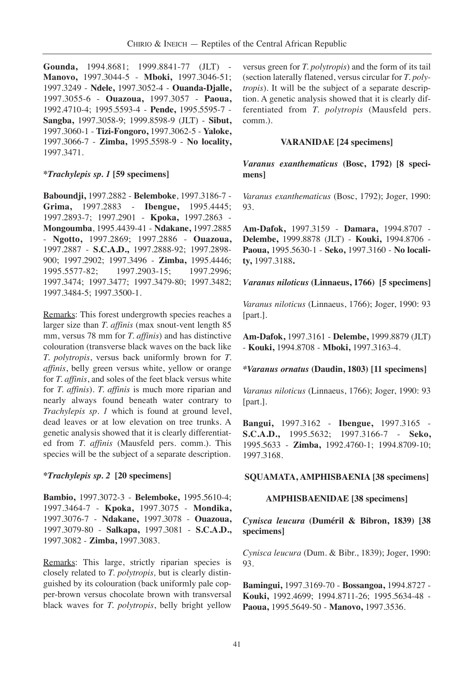**Gounda,** 1994.8681; 1999.8841-77 (JLT) - **Manovo,** 1997.3044-5 - **Mboki,** 1997.3046-51; 1997.3249 - **Ndele,** 1997.3052-4 - **Ouanda-Djalle,** 1997.3055-6 - **Ouazoua,** 1997.3057 - **Paoua,** 1992.4710-4; 1995.5593-4 - **Pende,** 1995.5595-7 - **Sangba,** 1997.3058-9; 1999.8598-9 (JLT) - **Sibut,** 1997.3060-1 - **Tizi-Fongoro,** 1997.3062-5 - **Yaloke,** 1997.3066-7 - **Zimba,** 1995.5598-9 - **No locality,** 1997.3471.

#### **\****Trachylepis sp. 1* **[59 specimens]**

**Baboundji,** 1997.2882 - **Belemboke**, 1997.3186-7 - **Grima,** 1997.2883 - **Ibengue,** 1995.4445; 1997.2893-7; 1997.2901 - **Kpoka,** 1997.2863 - **Mongoumba**, 1995.4439-41 - **Ndakane,** 1997.2885 - **Ngotto,** 1997.2869; 1997.2886 - **Ouazoua,** 1997.2887 - **S.C.A.D.,** 1997.2888-92; 1997.2898- 900; 1997.2902; 1997.3496 - **Zimba,** 1995.4446; 1995.5577-82; 1997.2903-15; 1997.2996; 1997.3474; 1997.3477; 1997.3479-80; 1997.3482; 1997.3484-5; 1997.3500-1.

Remarks: This forest undergrowth species reaches a larger size than *T. affinis* (max snout-vent length 85 mm, versus 78 mm for *T. affinis*) and has distinctive colouration (transverse black waves on the back like *T. polytropis*, versus back uniformly brown for *T. affinis*, belly green versus white, yellow or orange for *T. affinis*, and soles of the feet black versus white for *T. affinis*). *T. affinis* is much more riparian and nearly always found beneath water contrary to *Trachylepis sp. 1* which is found at ground level, dead leaves or at low elevation on tree trunks. A genetic analysis showed that it is clearly differentiated from *T. affinis* (Mausfeld pers. comm.). This species will be the subject of a separate description.

#### **\****Trachylepis sp. 2* **[20 specimens]**

**Bambio,** 1997.3072-3 - **Belemboke,** 1995.5610-4; 1997.3464-7 - **Kpoka,** 1997.3075 - **Mondika,** 1997.3076-7 - **Ndakane,** 1997.3078 - **Ouazoua,** 1997.3079-80 - **Salkapa,** 1997.3081 - **S.C.A.D.,** 1997.3082 - **Zimba,** 1997.3083.

Remarks: This large, strictly riparian species is closely related to *T. polytropis,* but is clearly distinguished by its colouration (back uniformly pale copper-brown versus chocolate brown with transversal black waves for *T. polytropis*, belly bright yellow versus green for *T. polytropis*) and the form of its tail (section laterally flatened, versus circular for *T. polytropis*). It will be the subject of a separate description. A genetic analysis showed that it is clearly differentiated from *T. polytropis* (Mausfeld pers. comm.).

#### **VARANIDAE [24 specimens]**

*Varanus exanthematicus* **(Bosc, 1792) [8 specimens]**

*Varanus exanthematicus* (Bosc, 1792); Joger, 1990: 93.

**Am-Dafok,** 1997.3159 - **Damara,** 1994.8707 - **Delembe,** 1999.8878 (JLT) - **Kouki,** 1994.8706 - **Paoua,** 1995.5630-1 - **Seko,** 1997.3160 - **No locality,** 1997.3188**.**

#### *Varanus niloticus* **(Linnaeus, 1766) [5 specimens]**

*Varanus niloticus* (Linnaeus, 1766); Joger, 1990: 93 [part.].

**Am-Dafok,** 1997.3161 - **Delembe,** 1999.8879 (JLT) - **Kouki,** 1994.8708 - **Mboki,** 1997.3163-4.

#### *\*Varanus ornatus* **(Daudin, 1803) [11 specimens]**

*Varanus niloticus* (Linnaeus, 1766); Joger, 1990: 93 [part.].

**Bangui,** 1997.3162 - **Ibengue,** 1997.3165 - **S.C.A.D.,** 1995.5632; 1997.3166-7 - **Seko,** 1995.5633 - **Zimba,** 1992.4760-1; 1994.8709-10; 1997.3168.

#### **SQUAMATA, AMPHISBAENIA [38 specimens]**

#### **AMPHISBAENIDAE [38 specimens]**

## *Cynisca leucura* **(Duméril & Bibron, 1839) [38 specimens]**

*Cynisca leucura* (Dum. & Bibr., 1839); Joger, 1990: 93.

**Bamingui,** 1997.3169-70 - **Bossangoa,** 1994.8727 - **Kouki,** 1992.4699; 1994.8711-26; 1995.5634-48 - **Paoua,** 1995.5649-50 - **Manovo,** 1997.3536.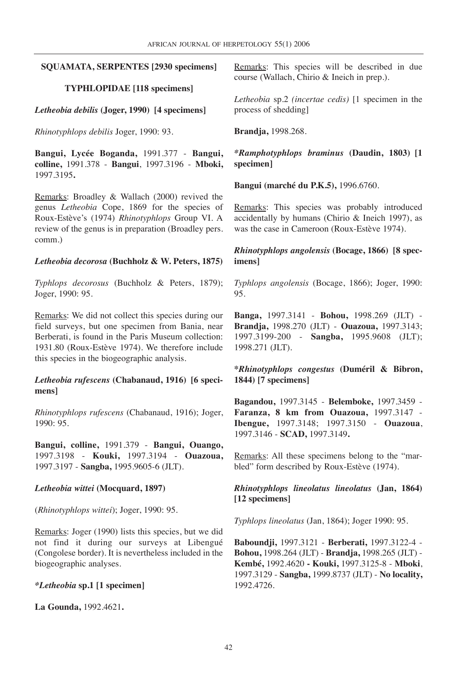#### **SQUAMATA, SERPENTES [2930 specimens]**

## **TYPHLOPIDAE [118 specimens]**

*Letheobia debilis* **(Joger, 1990) [4 specimens]**

*Rhinotyphlops debilis* Joger, 1990: 93.

**Bangui, Lycée Boganda,** 1991.377 - **Bangui, colline,** 1991.378 - **Bangui**, 1997.3196 - **Mboki,** 1997.3195**.**

Remarks: Broadley & Wallach (2000) revived the genus *Letheobia* Cope, 1869 for the species of Roux-Estève's (1974) *Rhinotyphlops* Group VI. A review of the genus is in preparation (Broadley pers. comm.)

#### *Letheobia decorosa* **(Buchholz & W. Peters, 1875)**

*Typhlops decorosus* (Buchholz & Peters, 1879); Joger, 1990: 95.

Remarks: We did not collect this species during our field surveys, but one specimen from Bania, near Berberati, is found in the Paris Museum collection: 1931.80 (Roux-Estève 1974). We therefore include this species in the biogeographic analysis.

### *Letheobia rufescens* **(Chabanaud, 1916) [6 specimens]**

*Rhinotyphlops rufescens* (Chabanaud, 1916); Joger, 1990: 95.

**Bangui, colline,** 1991.379 - **Bangui, Ouango,** 1997.3198 - **Kouki,** 1997.3194 - **Ouazoua,** 1997.3197 - **Sangba,** 1995.9605-6 (JLT).

## *Letheobia wittei* **(Mocquard, 1897)**

(*Rhinotyphlops wittei*); Joger, 1990: 95.

Remarks: Joger (1990) lists this species, but we did not find it during our surveys at Libengué (Congolese border). It is nevertheless included in the biogeographic analyses.

## *\*Letheobia* **sp.1 [1 specimen]**

**La Gounda,** 1992.4621**.**

Remarks: This species will be described in due course (Wallach, Chirio & Ineich in prep.).

*Letheobia* sp.2 *(incertae cedis)* [1 specimen in the process of shedding]

**Brandja,** 1998.268.

*\*Ramphotyphlops braminus* **(Daudin, 1803) [1 specimen]**

**Bangui (marché du P.K.5),** 1996.6760.

Remarks: This species was probably introduced accidentally by humans (Chirio & Ineich 1997), as was the case in Cameroon (Roux-Estève 1974).

## *Rhinotyphlops angolensis* **(Bocage, 1866) [8 specimens]**

*Typhlops angolensis* (Bocage, 1866); Joger, 1990: 95.

**Banga,** 1997.3141 - **Bohou,** 1998.269 (JLT) - **Brandja,** 1998.270 (JLT) - **Ouazoua,** 1997.3143; 1997.3199-200 - **Sangba,** 1995.9608 (JLT); 1998.271 (JLT).

**\****Rhinotyphlops congestus* **(Duméril & Bibron, 1844) [7 specimens]**

**Bagandou,** 1997.3145 - **Belemboke,** 1997.3459 - **Faranza, 8 km from Ouazoua,** 1997.3147 - **Ibengue,** 1997.3148; 1997.3150 - **Ouazoua**, 1997.3146 - **SCAD,** 1997.3149**.**

Remarks: All these specimens belong to the "marbled" form described by Roux-Estève (1974).

## *Rhinotyphlops lineolatus lineolatus* **(Jan, 1864) [12 specimens]**

*Typhlops lineolatus* (Jan, 1864); Joger 1990: 95.

**Baboundji,** 1997.3121 - **Berberati,** 1997.3122-4 - **Bohou,** 1998.264 (JLT) - **Brandja,** 1998.265 (JLT) - **Kembé,** 1992.4620 **- Kouki,** 1997.3125-8 - **Mboki**, 1997.3129 - **Sangba,** 1999.8737 (JLT) - **No locality,** 1992.4726.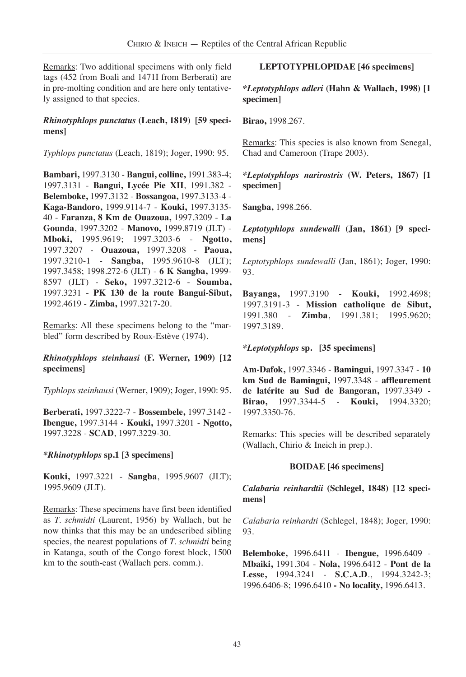Remarks: Two additional specimens with only field tags (452 from Boali and 1471I from Berberati) are in pre-molting condition and are here only tentatively assigned to that species.

### *Rhinotyphlops punctatus* **(Leach, 1819) [59 specimens]**

*Typhlops punctatus* (Leach, 1819); Joger, 1990: 95.

**Bambari,** 1997.3130 - **Bangui, colline,** 1991.383-4; 1997.3131 - **Bangui, Lycée Pie XII**, 1991.382 - **Belemboke,** 1997.3132 - **Bossangoa,** 1997.3133-4 - **Kaga-Bandoro,** 1999.9114-7 - **Kouki,** 1997.3135- 40 - **Faranza, 8 Km de Ouazoua,** 1997.3209 - **La Gounda**, 1997.3202 - **Manovo,** 1999.8719 (JLT) - **Mboki,** 1995.9619; 1997.3203-6 - **Ngotto,** 1997.3207 - **Ouazoua,** 1997.3208 - **Paoua,** 1997.3210-1 - **Sangba,** 1995.9610-8 (JLT); 1997.3458; 1998.272-6 (JLT) - **6 K Sangba,** 1999- 8597 (JLT) - **Seko,** 1997.3212-6 - **Soumba,** 1997.3231 - **PK 130 de la route Bangui-Sibut,** 1992.4619 - **Zimba,** 1997.3217-20.

Remarks: All these specimens belong to the "marbled" form described by Roux-Estève (1974).

### *Rhinotyphlops steinhausi* **(F. Werner, 1909) [12 specimens]**

*Typhlops steinhausi* (Werner, 1909); Joger, 1990: 95.

**Berberati,** 1997.3222-7 - **Bossembele,** 1997.3142 - **Ibengue,** 1997.3144 - **Kouki,** 1997.3201 - **Ngotto,** 1997.3228 - **SCAD**, 1997.3229-30.

#### *\*Rhinotyphlops* **sp.1 [3 specimens]**

**Kouki,** 1997.3221 - **Sangba**, 1995.9607 (JLT); 1995.9609 (JLT).

Remarks: These specimens have first been identified as *T. schmidti* (Laurent, 1956) by Wallach, but he now thinks that this may be an undescribed sibling species, the nearest populations of *T. schmidti* being in Katanga, south of the Congo forest block, 1500 km to the south-east (Wallach pers. comm.).

## **LEPTOTYPHLOPIDAE [46 specimens]**

*\*Leptotyphlops adleri* **(Hahn & Wallach, 1998) [1 specimen]**

**Birao,** 1998.267.

Remarks: This species is also known from Senegal, Chad and Cameroon (Trape 2003).

*\*Leptotyphlops narirostris* **(W. Peters, 1867) [1 specimen]**

**Sangba,** 1998.266.

*Leptotyphlops sundewalli* **(Jan, 1861) [9 specimens]**

*Leptotyphlops sundewalli* (Jan, 1861); Joger, 1990: 93.

**Bayanga,** 1997.3190 - **Kouki,** 1992.4698; 1997.3191-3 - **Mission catholique de Sibut,** 1991.380 - **Zimba**, 1991.381; 1995.9620; 1997.3189.

*\*Leptotyphlops* **sp. [35 specimens]**

**Am-Dafok,** 1997.3346 - **Bamingui,** 1997.3347 - **10 km Sud de Bamingui,** 1997.3348 - **affleurement de latérite au Sud de Bangoran,** 1997.3349 - **Birao,** 1997.3344-5 - **Kouki,** 1994.3320; 1997.3350-76.

Remarks: This species will be described separately (Wallach, Chirio & Ineich in prep.).

#### **BOIDAE [46 specimens]**

*Calabaria reinhardtii* **(Schlegel, 1848) [12 specimens]**

*Calabaria reinhardti* (Schlegel, 1848); Joger, 1990: 93.

**Belemboke,** 1996.6411 - **Ibengue,** 1996.6409 - **Mbaiki,** 1991.304 - **Nola,** 1996.6412 - **Pont de la Lesse,** 1994.3241 - **S.C.A.D**., 1994.3242-3; 1996.6406-8; 1996.6410 **- No locality,** 1996.6413.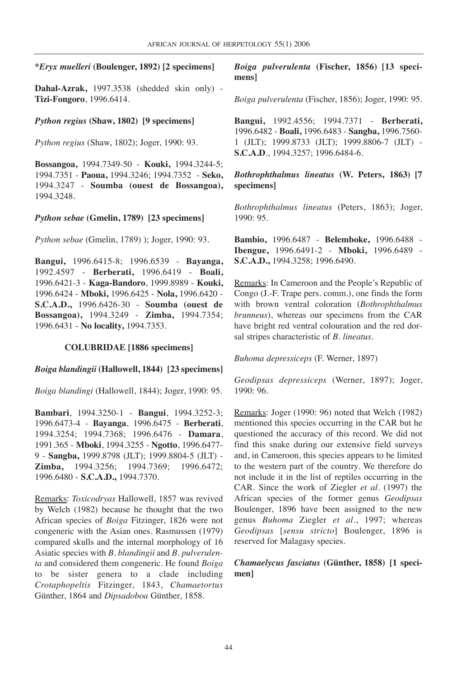#### **\****Eryx muelleri* **(Boulenger, 1892) [2 specimens]**

**Dahal-Azrak,** 1997.3538 (shedded skin only) - **Tizi-Fongoro**, 1996.6414.

*Python regius* **(Shaw, 1802) [9 specimens]**

*Python regius* (Shaw, 1802); Joger, 1990: 93.

**Bossangoa,** 1994.7349-50 - **Kouki,** 1994.3244-5; 1994.7351 - **Paoua,** 1994.3246; 1994.7352 - **Seko,** 1994.3247 - **Soumba (ouest de Bossangoa),** 1994.3248.

#### *Python sebae* **(Gmelin, 1789) [23 specimens]**

*Python sebae* (Gmelin, 1789) ); Joger, 1990: 93.

**Bangui,** 1996.6415-8; 1996.6539 - **Bayanga,** 1992.4597 - **Berberati,** 1996.6419 - **Boali,** 1996.6421-3 - **Kaga-Bandoro**, 1999.8989 - **Kouki,** 1996.6424 - **Mboki,** 1996.6425 - **Nola,** 1996.6420 - **S.C.A.D.,** 1996.6426-30 - **Soumba (ouest de Bossangoa),** 1994.3249 - **Zimba,** 1994.7354; 1996.6431 - **No locality,** 1994.7353.

#### **COLUBRIDAE [1886 specimens]**

#### *Boiga blandingii* **(Hallowell, 1844) [23 specimens]**

*Boiga blandingi* (Hallowell, 1844); Joger, 1990: 95.

**Bambari**, 1994.3250-1 - **Bangui**, 1994.3252-3; 1996.6473-4 - **Bayanga**, 1996.6475 - **Berberati**, 1994.3254; 1994.7368; 1996.6476 - **Damara**, 1991.365 - **Mboki**, 1994.3255 - **Ngotto**, 1996.6477- 9 - **Sangba,** 1999.8798 (JLT); 1999.8804-5 (JLT) - **Zimba,** 1994.3256; 1994.7369; 1996.6472; 1996.6480 - **S.C.A.D.,** 1994.7370.

Remarks: *Toxicodryas* Hallowell, 1857 was revived by Welch (1982) because he thought that the two African species of *Boiga* Fitzinger, 1826 were not congeneric with the Asian ones. Rasmussen (1979) compared skulls and the internal morphology of 16 Asiatic species with *B. blandingii* and *B. pulverulenta* and considered them congeneric. He found *Boiga* to be sister genera to a clade including *Crotaphopeltis* Fitzinger, 1843, *Chamaetortus* Günther, 1864 and *Dipsadoboa* Günther, 1858.

*Boiga pulverulenta* **(Fischer, 1856) [13 specimens]**

*Boiga pulverulenta* (Fischer, 1856); Joger, 1990: 95.

**Bangui,** 1992.4556; 1994.7371 - **Berberati,** 1996.6482 - **Boali,** 1996.6483 - **Sangba,** 1996.7560- 1 (JLT); 1999.8733 (JLT); 1999.8806-7 (JLT) - **S.C.A.D**., 1994.3257; 1996.6484-6.

*Bothrophthalmus lineatus* **(W. Peters, 1863) [7 specimens]**

*Bothrophthalmus lineatus* (Peters, 1863); Joger, 1990: 95.

**Bambio,** 1996.6487 - **Belemboke,** 1996.6488 - **Ibengue,** 1996.6491-2 - **Mboki,** 1996.6489 - **S.C.A.D.,** 1994.3258; 1996.6490.

Remarks: In Cameroon and the People's Republic of Congo (J.-F. Trape pers. comm.), one finds the form with brown ventral coloration (*Bothrophthalmus brunneus*), whereas our specimens from the CAR have bright red ventral colouration and the red dorsal stripes characteristic of *B. lineatus*.

*Buhoma depressiceps* (F. Werner, 1897)

*Geodipsas depressiceps* (Werner, 1897); Joger, 1990: 96.

Remarks: Joger (1990: 96) noted that Welch (1982) mentioned this species occurring in the CAR but he questioned the accuracy of this record. We did not find this snake during our extensive field surveys and, in Cameroon, this species appears to be limited to the western part of the country. We therefore do not include it in the list of reptiles occurring in the CAR. Since the work of Ziegler *et al.* (1997) the African species of the former genus *Geodipsas* Boulenger, 1896 have been assigned to the new genus *Buhoma* Ziegler *et al.*, 1997; whereas *Geodipsas* [*sensu stricto*] Boulenger, 1896 is reserved for Malagasy species.

#### *Chamaelycus fasciatus* **(Günther, 1858) [1 specimen]**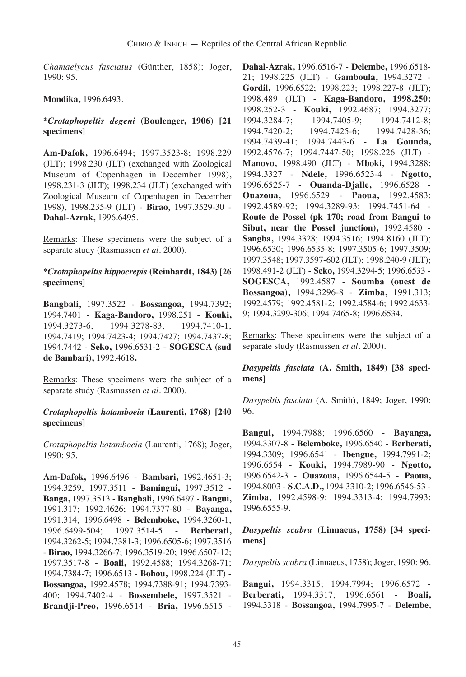*Chamaelycus fasciatus* (Günther, 1858); Joger, 1990: 95.

## **Mondika,** 1996.6493.

## **\****Crotaphopeltis degeni* **(Boulenger, 1906) [21 specimens]**

**Am-Dafok,** 1996.6494; 1997.3523-8; 1998.229 (JLT); 1998.230 (JLT) (exchanged with Zoological Museum of Copenhagen in December 1998), 1998.231-3 (JLT); 1998.234 (JLT) (exchanged with Zoological Museum of Copenhagen in December 1998), 1998.235-9 (JLT) - **Birao,** 1997.3529-30 - **Dahal-Azrak,** 1996.6495.

Remarks: These specimens were the subject of a separate study (Rasmussen *et al.* 2000).

### **\****Crotaphopeltis hippocrepis* **(Reinhardt, 1843) [26 specimens]**

**Bangbali,** 1997.3522 - **Bossangoa,** 1994.7392; 1994.7401 - **Kaga-Bandoro,** 1998.251 - **Kouki,** 1994.3273-6; 1994.3278-83; 1994.7410-1; 1994.7419; 1994.7423-4; 1994.7427; 1994.7437-8; 1994.7442 - **Seko,** 1996.6531-2 - **SOGESCA (sud de Bambari),** 1992.4618**.**

Remarks: These specimens were the subject of a separate study (Rasmussen *et al.* 2000).

### *Crotaphopeltis hotamboeia* **(Laurenti, 1768) [240 specimens]**

*Crotaphopeltis hotamboeia* (Laurenti, 1768); Joger, 1990: 95.

**Am-Dafok,** 1996.6496 - **Bambari,** 1992.4651-3; 1994.3259; 1997.3511 - **Bamingui,** 1997.3512 **- Banga,** 1997.3513 **- Bangbali,** 1996.6497 **- Bangui,** 1991.317; 1992.4626; 1994.7377-80 - **Bayanga,** 1991.314; 1996.6498 - **Belemboke,** 1994.3260-1; 1996.6499-504; 1997.3514-5 - **Berberati,** 1994.3262-5; 1994.7381-3; 1996.6505-6; 1997.3516 - **Birao,** 1994.3266-7; 1996.3519-20; 1996.6507-12; 1997.3517-8 - **Boali,** 1992.4588; 1994.3268-71; 1994.7384-7; 1996.6513 - **Bohou,** 1998.224 (JLT) - **Bossangoa,** 1992.4578; 1994.7388-91; 1994.7393- 400; 1994.7402-4 - **Bossembele,** 1997.3521 - **Brandji-Preo,** 1996.6514 - **Bria,** 1996.6515 - **Dahal-Azrak,** 1996.6516-7 - **Delembe,** 1996.6518- 21; 1998.225 (JLT) - **Gamboula,** 1994.3272 - **Gordil,** 1996.6522; 1998.223; 1998.227-8 (JLT); 1998.489 (JLT) - **Kaga-Bandoro, 1998.250;** 1998.252-3 - **Kouki,** 1992.4687; 1994.3277; 1994.3284-7; 1994.7405-9; 1994.7412-8; 1994.7420-2; 1994.7425-6; 1994.7428-36; 1994.7439-41; 1994.7443-6 - **La Gounda,** 1992.4576-7; 1994.7447-50; 1998.226 (JLT) - **Manovo,** 1998.490 (JLT) - **Mboki,** 1994.3288; 1994.3327 - **Ndele,** 1996.6523-4 - **Ngotto,** 1996.6525-7 - **Ouanda-Djalle,** 1996.6528 - **Ouazoua,** 1996.6529 - **Paoua,** 1992.4583; 1992.4589-92; 1994.3289-93; 1994.7451-64 - **Route de Possel (pk 170; road from Bangui to Sibut, near the Possel junction),** 1992.4580 - **Sangba,** 1994.3328; 1994.3516; 1994.8160 (JLT); 1996.6530; 1996.6535-8; 1997.3505-6; 1997.3509; 1997.3548; 1997.3597-602 (JLT); 1998.240-9 (JLT); 1998.491-2 (JLT) **- Seko,** 1994.3294-5; 1996.6533 - **SOGESCA,** 1992.4587 - **Soumba (ouest de Bossangoa),** 1994.3296-8 - **Zimba,** 1991.313; 1992.4579; 1992.4581-2; 1992.4584-6; 1992.4633- 9; 1994.3299-306; 1994.7465-8; 1996.6534.

Remarks: These specimens were the subject of a separate study (Rasmussen *et al.* 2000).

## *Dasypeltis fasciata* **(A. Smith, 1849) [38 specimens]**

*Dasypeltis fasciata* (A. Smith), 1849; Joger, 1990: 96.

**Bangui,** 1994.7988; 1996.6560 - **Bayanga,** 1994.3307-8 - **Belemboke,** 1996.6540 - **Berberati,** 1994.3309; 1996.6541 - **Ibengue,** 1994.7991-2; 1996.6554 - **Kouki,** 1994.7989-90 - **Ngotto,** 1996.6542-3 - **Ouazoua,** 1996.6544-5 - **Paoua,** 1994.8003 - **S.C.A.D.,** 1994.3310-2; 1996.6546-53 - **Zimba,** 1992.4598-9; 1994.3313-4; 1994.7993; 1996.6555-9.

## *Dasypeltis scabra* **(Linnaeus, 1758) [34 specimens]**

*Dasypeltis scabra* (Linnaeus, 1758); Joger, 1990: 96.

**Bangui,** 1994.3315; 1994.7994; 1996.6572 - **Berberati,** 1994.3317; 1996.6561 - **Boali,** 1994.3318 - **Bossangoa,** 1994.7995-7 - **Delembe**,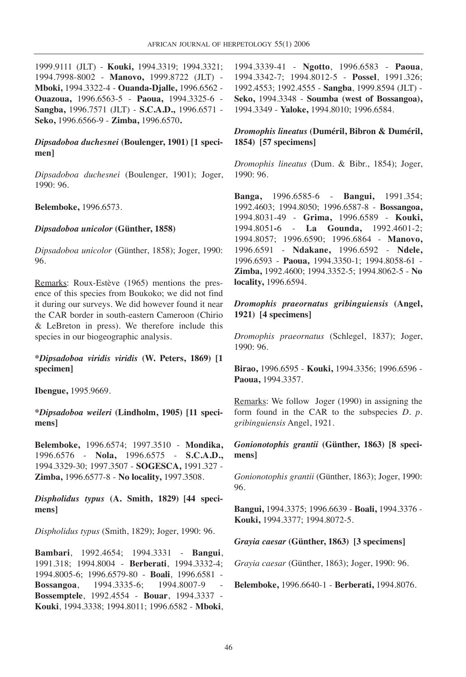1999.9111 (JLT) - **Kouki,** 1994.3319; 1994.3321; 1994.7998-8002 - **Manovo,** 1999.8722 (JLT) - **Mboki,** 1994.3322-4 - **Ouanda-Djalle,** 1996.6562 - **Ouazoua,** 1996.6563-5 - **Paoua,** 1994.3325-6 - **Sangba,** 1996.7571 (JLT) - **S.C.A.D.,** 1996.6571 - **Seko,** 1996.6566-9 - **Zimba,** 1996.6570**.**

## *Dipsadoboa duchesnei* **(Boulenger, 1901) [1 specimen]**

*Dipsadoboa duchesnei* (Boulenger, 1901); Joger, 1990: 96.

**Belemboke,** 1996.6573.

#### *Dipsadoboa unicolor* **(Günther, 1858)**

*Dipsadoboa unicolor* (Günther, 1858); Joger, 1990: 96.

Remarks: Roux-Estève (1965) mentions the presence of this species from Boukoko; we did not find it during our surveys. We did however found it near the CAR border in south-eastern Cameroon (Chirio & LeBreton in press). We therefore include this species in our biogeographic analysis.

**\****Dipsadoboa viridis viridis* **(W. Peters, 1869) [1 specimen]**

**Ibengue,** 1995.9669.

**\****Dipsadoboa weileri* **(Lindholm, 1905) [11 specimens]**

**Belemboke,** 1996.6574; 1997.3510 - **Mondika,** 1996.6576 - **Nola,** 1996.6575 - **S.C.A.D.,** 1994.3329-30; 1997.3507 - **SOGESCA,** 1991.327 - **Zimba,** 1996.6577-8 - **No locality,** 1997.3508.

*Dispholidus typus* **(A. Smith, 1829) [44 specimens]**

*Dispholidus typus* (Smith, 1829); Joger, 1990: 96.

**Bambari**, 1992.4654; 1994.3331 - **Bangui**, 1991.318; 1994.8004 - **Berberati**, 1994.3332-4; 1994.8005-6; 1996.6579-80 - **Boali**, 1996.6581 - **Bossangoa**, 1994.3335-6; 1994.8007-9 - **Bossemptele**, 1992.4554 - **Bouar**, 1994.3337 - **Kouki**, 1994.3338; 1994.8011; 1996.6582 - **Mboki**, 1994.3339-41 - **Ngotto**, 1996.6583 - **Paoua**, 1994.3342-7; 1994.8012-5 - **Possel**, 1991.326; 1992.4553; 1992.4555 - **Sangba**, 1999.8594 (JLT) - **Seko,** 1994.3348 - **Soumba (west of Bossangoa),** 1994.3349 - **Yaloke,** 1994.8010; 1996.6584.

### *Dromophis lineatus* **(Duméril, Bibron & Duméril, 1854) [57 specimens]**

*Dromophis lineatus* (Dum. & Bibr., 1854); Joger, 1990: 96.

**Banga,** 1996.6585-6 - **Bangui,** 1991.354; 1992.4603; 1994.8050; 1996.6587-8 - **Bossangoa,** 1994.8031-49 - **Grima,** 1996.6589 - **Kouki,** 1994.8051**-**6 - **La Gounda,** 1992.4601-2; 1994.8057; 1996.6590; 1996.6864 - **Manovo,** 1996.6591 - **Ndakane,** 1996.6592 - **Ndele,** 1996.6593 - **Paoua,** 1994.3350-1; 1994.8058-61 - **Zimba,** 1992.4600; 1994.3352-5; 1994.8062-5 - **No locality,** 1996.6594.

*Dromophis praeornatus gribinguiensis* **(Angel, 1921) [4 specimens]**

*Dromophis praeornatus* (Schlegel, 1837); Joger, 1990: 96.

**Birao,** 1996.6595 - **Kouki,** 1994.3356; 1996.6596 - **Paoua,** 1994.3357.

Remarks: We follow Joger (1990) in assigning the form found in the CAR to the subspecies *D. p. gribinguiensis* Angel, 1921.

*Gonionotophis grantii* **(Günther, 1863) [8 specimens]**

*Gonionotophis grantii* (Günther, 1863); Joger, 1990: 96.

**Bangui,** 1994.3375; 1996.6639 - **Boali,** 1994.3376 - **Kouki,** 1994.3377; 1994.8072-5.

#### *Grayia caesar* **(Günther, 1863) [3 specimens]**

*Grayia caesar* (Günther, 1863); Joger, 1990: 96.

**Belemboke,** 1996.6640-1 - **Berberati,** 1994.8076.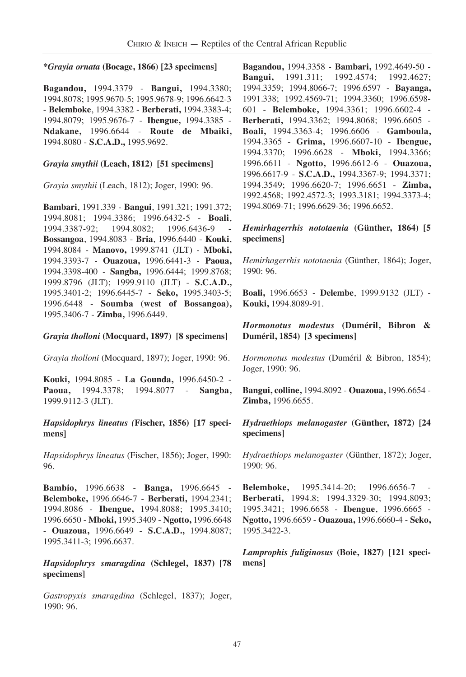#### **\****Grayia ornata* **(Bocage, 1866) [23 specimens]**

**Bagandou,** 1994.3379 - **Bangui,** 1994.3380; 1994.8078; 1995.9670-5; 1995.9678-9; 1996.6642-3 - **Belemboke**, 1994.3382 - **Berberati,** 1994.3383-4; 1994.8079; 1995.9676-7 - **Ibengue,** 1994.3385 - **Ndakane,** 1996.6644 - **Route de Mbaiki,** 1994.8080 - **S.C.A.D.,** 1995.9692.

### *Grayia smythii* **(Leach, 1812) [51 specimens]**

*Grayia smythii* (Leach, 1812); Joger, 1990: 96.

**Bambari**, 1991.339 - **Bangui**, 1991.321; 1991.372; 1994.8081; 1994.3386; 1996.6432-5 - **Boali**, 1994.3387-92; 1994.8082; 1996.6436-9 - **Bossangoa**, 1994.8083 - **Bria**, 1996.6440 - **Kouki**, 1994.8084 - **Manovo,** 1999.8741 (JLT) - **Mboki,** 1994.3393-7 - **Ouazoua,** 1996.6441-3 - **Paoua,** 1994.3398-400 - **Sangba,** 1996.6444; 1999.8768; 1999.8796 (JLT); 1999.9110 (JLT) - **S.C.A.D.,** 1995.3401-2; 1996.6445-7 - **Seko,** 1995.3403-5; 1996.6448 - **Soumba (west of Bossangoa),** 1995.3406-7 - **Zimba,** 1996.6449.

## *Grayia tholloni* **(Mocquard, 1897) [8 specimens]**

*Grayia tholloni* (Mocquard, 1897); Joger, 1990: 96.

**Kouki,** 1994.8085 - **La Gounda,** 1996.6450-2 - **Paoua,** 1994.3378; 1994.8077 - **Sangba,** 1999.9112-3 (JLT).

### *Hapsidophrys lineatus (***Fischer, 1856) [17 specimens]**

*Hapsidophrys lineatus* (Fischer, 1856); Joger, 1990: 96.

**Bambio,** 1996.6638 - **Banga,** 1996.6645 - **Belemboke,** 1996.6646-7 - **Berberati,** 1994.2341; 1994.8086 - **Ibengue,** 1994.8088; 1995.3410; 1996.6650 - **Mboki,** 1995.3409 - **Ngotto,** 1996.6648 - **Ouazoua,** 1996.6649 - **S.C.A.D.,** 1994.8087; 1995.3411-3; 1996.6637.

## *Hapsidophrys smaragdina* **(Schlegel, 1837) [78 specimens]**

*Gastropyxis smaragdina* (Schlegel, 1837); Joger, 1990: 96.

**Bagandou,** 1994.3358 - **Bambari,** 1992.4649-50 - **Bangui,** 1991.311; 1992.4574; 1992.4627; 1994.3359; 1994.8066-7; 1996.6597 - **Bayanga,** 1991.338; 1992.4569-71; 1994.3360; 1996.6598- 601 - **Belemboke,** 1994.3361; 1996.6602-4 - **Berberati,** 1994.3362; 1994.8068; 1996.6605 - **Boali,** 1994.3363-4; 1996.6606 - **Gamboula,** 1994.3365 - **Grima,** 1996.6607-10 - **Ibengue,** 1994.3370; 1996.6628 - **Mboki,** 1994.3366; 1996.6611 - **Ngotto,** 1996.6612-6 - **Ouazoua,** 1996.6617-9 - **S.C.A.D.,** 1994.3367-9; 1994.3371; 1994.3549; 1996.6620-7; 1996.6651 - **Zimba,** 1992.4568; 1992.4572-3; 1993.3181; 1994.3373-4; 1994.8069-71; 1996.6629-36; 1996.6652.

## *Hemirhagerrhis nototaenia* **(Günther, 1864) [5 specimens]**

*Hemirhagerrhis nototaenia* (Günther, 1864); Joger, 1990: 96.

**Boali,** 1996.6653 - **Delembe**, 1999.9132 (JLT) - **Kouki,** 1994.8089-91.

## *Hormonotus modestus* **(Duméril, Bibron & Duméril, 1854) [3 specimens]**

*Hormonotus modestus* (Duméril & Bibron, 1854); Joger, 1990: 96.

**Bangui, colline,** 1994.8092 - **Ouazoua,** 1996.6654 - **Zimba,** 1996.6655.

### *Hydraethiops melanogaster* **(Günther, 1872) [24 specimens]**

*Hydraethiops melanogaster* (Günther, 1872); Joger, 1990: 96.

**Belemboke,** 1995.3414-20; 1996.6656-7 - **Berberati,** 1994.8; 1994.3329-30; 1994.8093; 1995.3421; 1996.6658 - **Ibengue**, 1996.6665 - **Ngotto,** 1996.6659 - **Ouazoua,** 1996.6660-4 - **Seko,** 1995.3422-3.

*Lamprophis fuliginosus* **(Boie, 1827) [121 specimens]**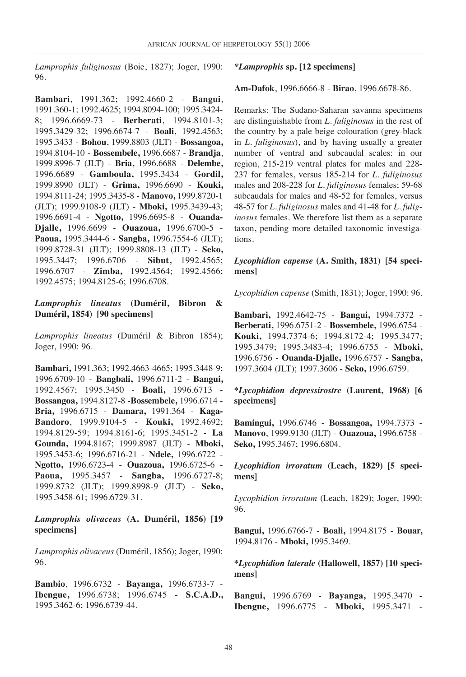*Lamprophis fuliginosus* (Boie, 1827); Joger, 1990: 96.

**Bambari**, 1991.362; 1992.4660-2 - **Bangui**, 1991.360-1; 1992.4625; 1994.8094-100; 1995.3424- 8; 1996.6669-73 - **Berberati**, 1994.8101-3; 1995.3429-32; 1996.6674-7 - **Boali**, 1992.4563; 1995.3433 - **Bohou**, 1999.8803 (JLT) - **Bossangoa,** 1994.8104-10 - **Bossembele,** 1996.6687 - **Brandja**, 1999.8996-7 (JLT) - **Bria,** 1996.6688 - **Delembe,** 1996.6689 - **Gamboula,** 1995.3434 - **Gordil,** 1999.8990 (JLT) - **Grima,** 1996.6690 - **Kouki,** 1994.8111-24; 1995.3435-8 - **Manovo,** 1999.8720-1 (JLT); 1999.9108-9 (JLT) - **Mboki,** 1995.3439-43; 1996.6691-4 - **Ngotto,** 1996.6695-8 - **Ouanda-Djalle,** 1996.6699 - **Ouazoua,** 1996.6700-5 - **Paoua,** 1995.3444-6 - **Sangba,** 1996.7554-6 (JLT); 1999.8728-31 (JLT); 1999.8808-13 (JLT) - **Seko,** 1995.3447; 1996.6706 - **Sibut,** 1992.4565; 1996.6707 - **Zimba,** 1992.4564; 1992.4566; 1992.4575; 1994.8125-6; 1996.6708.

*Lamprophis lineatus* **(Duméril, Bibron & Duméril, 1854) [90 specimens]**

*Lamprophis lineatus* (Duméril & Bibron 1854); Joger, 1990: 96.

**Bambari,** 1991.363; 1992.4663-4665; 1995.3448-9; 1996.6709-10 - **Bangbali,** 1996.6711-2 - **Bangui,** 1992.4567; 1995.3450 - **Boali,** 1996.6713 **- Bossangoa,** 1994.8127-8 -**Bossembele,** 1996.6714 - **Bria,** 1996.6715 - **Damara,** 1991.364 - **Kaga-Bandoro**, 1999.9104-5 - **Kouki,** 1992.4692; 1994.8129-59; 1994.8161-6; 1995.3451-2 - **La Gounda,** 1994.8167; 1999.8987 (JLT) - **Mboki,** 1995.3453-6; 1996.6716-21 - **Ndele,** 1996.6722 - **Ngotto,** 1996.6723-4 - **Ouazoua,** 1996.6725-6 - **Paoua,** 1995.3457 - **Sangba,** 1996.6727-8; 1999.8732 (JLT); 1999.8998-9 (JLT) - **Seko,** 1995.3458-61; 1996.6729-31.

## *Lamprophis olivaceus* **(A. Duméril, 1856) [19 specimens]**

*Lamprophis olivaceus* (Duméril, 1856); Joger, 1990: 96.

**Bambio**, 1996.6732 - **Bayanga,** 1996.6733-7 - **Ibengue,** 1996.6738; 1996.6745 - **S.C.A.D.,** 1995.3462-6; 1996.6739-44.

*\*Lamprophis* **sp. [12 specimens]**

**Am-Dafok**, 1996.6666-8 - **Birao**, 1996.6678-86.

Remarks: The Sudano-Saharan savanna specimens are distinguishable from *L. fuliginosus* in the rest of the country by a pale beige colouration (grey-black in *L. fuliginosus*), and by having usually a greater number of ventral and subcaudal scales: in our region, 215-219 ventral plates for males and 228- 237 for females, versus 185-214 for *L. fuliginosus* males and 208-228 for *L. fuliginosus* females; 59-68 subcaudals for males and 48-52 for females, versus 48-57 for *L. fuliginosus* males and 41-48 for *L. fuliginosus* females. We therefore list them as a separate taxon, pending more detailed taxonomic investigations.

#### *Lycophidion capense* **(A. Smith, 1831) [54 specimens]**

*Lycophidion capense* (Smith, 1831); Joger, 1990: 96.

**Bambari,** 1992.4642-75 - **Bangui,** 1994.7372 - **Berberati,** 1996.6751-2 - **Bossembele,** 1996.6754 - **Kouki,** 1994.7374-6; 1994.8172-4; 1995.3477; 1995.3479; 1995.3483-4; 1996.6755 - **Mboki,** 1996.6756 - **Ouanda-Djalle,** 1996.6757 - **Sangba,** 1997.3604 (JLT); 1997.3606 - **Seko,** 1996.6759.

**\****Lycophidion depressirostre* **(Laurent, 1968) [6 specimens]**

**Bamingui,** 1996.6746 - **Bossangoa,** 1994.7373 - **Manovo**, 1999.9130 (JLT) - **Ouazoua,** 1996.6758 - **Seko,** 1995.3467; 1996.6804.

*Lycophidion irroratum* **(Leach, 1829) [5 specimens]**

*Lycophidion irroratum* (Leach, 1829); Joger, 1990: 96.

**Bangui,** 1996.6766-7 - **Boali,** 1994.8175 - **Bouar,** 1994.8176 - **Mboki,** 1995.3469.

**\****Lycophidion laterale* **(Hallowell, 1857) [10 specimens]**

**Bangui,** 1996.6769 - **Bayanga,** 1995.3470 - **Ibengue,** 1996.6775 - **Mboki,** 1995.3471 -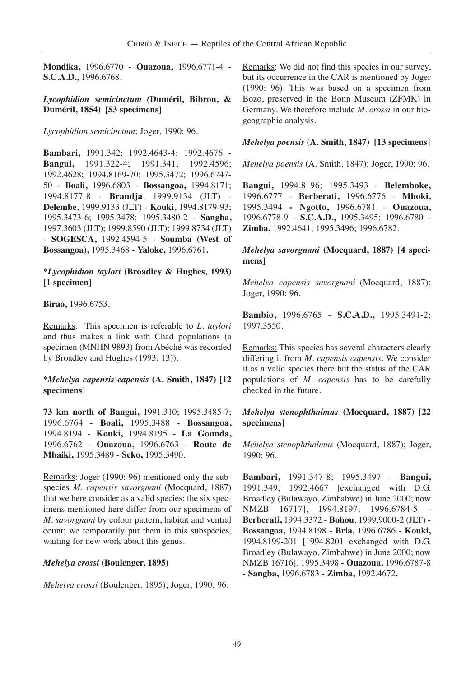**Mondika,** 1996.6770 - **Ouazoua,** 1996.6771-4 - **S.C.A.D.,** 1996.6768.

#### *Lycophidion semicinctum (***Duméril, Bibron, & Duméril, 1854) [53 specimens]**

*Lycophidion semicinctum*; Joger, 1990: 96.

**Bambari,** 1991.342; 1992.4643-4; 1992.4676 - **Bangui,** 1991.322-4; 1991.341; 1992.4596; 1992.4628; 1994.8169-70; 1995.3472; 1996.6747- 50 - **Boali,** 1996.6803 - **Bossangoa,** 1994.8171; 1994.8177-8 - **Brandja**, 1999.9134 (JLT) - **Delembe**, 1999.9133 (JLT) - **Kouki,** 1994.8179-93; 1995.3473-6; 1995.3478; 1995.3480-2 - **Sangba,** 1997.3603 (JLT); 1999.8590 (JLT); 1999.8734 (JLT) - **SOGESCA,** 1992.4594-5 - **Soumba (West of Bossangoa),** 1995.3468 - **Yaloke,** 1996.6761**.**

## **\****Lycophidion taylori* **(Broadley & Hughes, 1993) [1 specimen]**

**Birao,** 1996.6753.

Remarks: This specimen is referable to *L. taylori* and thus makes a link with Chad populations (a specimen (MNHN 9893) from Abéché was recorded by Broadley and Hughes (1993: 13)).

## **\****Mehelya capensis capensis* **(A. Smith, 1847) [12 specimens]**

**73 km north of Bangui,** 1991.310; 1995.3485-7; 1996.6764 - **Boali,** 1995.3488 - **Bossangoa,** 1994.8194 - **Kouki,** 1994.8195 - **La Gounda,** 1996.6762 - **Ouazoua,** 1996.6763 - **Route de Mbaiki,** 1995.3489 - **Seko,** 1995.3490.

Remarks: Joger (1990: 96) mentioned only the subspecies *M. capensis savorgnani* (Mocquard, 1887) that we here consider as a valid species; the six specimens mentioned here differ from our specimens of *M. savorgnani* by colour pattern, habitat and ventral count; we temporarily put them in this subspecies, waiting for new work about this genus.

#### *Mehelya crossi* **(Boulenger, 1895)**

*Mehelya crossi* (Boulenger, 1895); Joger, 1990: 96.

Remarks: We did not find this species in our survey, but its occurrence in the CAR is mentioned by Joger (1990: 96). This was based on a specimen from Bozo, preserved in the Bonn Museum (ZFMK) in Germany. We therefore include *M. crossi* in our biogeographic analysis.

#### *Mehelya poensis* **(A. Smith, 1847) [13 specimens]**

*Mehelya poensis* (A. Smith, 1847); Joger, 1990: 96.

**Bangui,** 1994.8196; 1995.3493 - **Belemboke,** 1996.6777 - **Berberati,** 1996.6776 - **Mboki,** 1995.3494 **- Ngotto,** 1996.6781 - **Ouazoua,** 1996.6778-9 - **S.C.A.D.,** 1995.3495; 1996.6780 - **Zimba,** 1992.4641; 1995.3496; 1996.6782.

*Mehelya savorgnani* **(Mocquard, 1887) [4 specimens]**

*Mehelya capensis savorgnani* (Mocquard, 1887); Joger, 1990: 96.

**Bambio,** 1996.6765 - **S.C.A.D.,** 1995.3491-2; 1997.3550.

Remarks: This species has several characters clearly differing it from *M. capensis capensis*. We consider it as a valid species there but the status of the CAR populations of *M. capensis* has to be carefully checked in the future.

### *Mehelya stenophthalmus* **(Mocquard, 1887) [22 specimens]**

*Mehelya stenophthalmus* (Mocquard, 1887); Joger, 1990: 96.

**Bambari,** 1991.347-8; 1995.3497 - **Bangui,** 1991.349; 1992.4667 [exchanged with D.G. Broadley (Bulawayo, Zimbabwe) in June 2000; now NMZB 16717], 1994.8197; 1996.6784-5 -**Berberati,** 1994.3372 - **Bohou**, 1999.9000-2 (JLT) - **Bossangoa,** 1994.8198 - **Bria,** 1996.6786 - **Kouki,** 1994.8199-201 [1994.8201 exchanged with D.G. Broadley (Bulawayo, Zimbabwe) in June 2000; now NMZB 16716], 1995.3498 - **Ouazoua,** 1996.6787-8 - **Sangba,** 1996.6783 - **Zimba,** 1992.4672**.**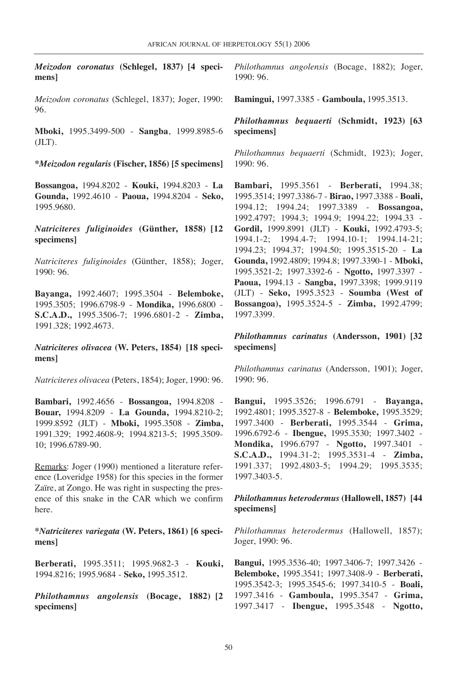*Meizodon coronatus* **(Schlegel, 1837) [4 specimens]**

*Meizodon coronatus* (Schlegel, 1837); Joger, 1990: 96.

**Mboki,** 1995.3499-500 - **Sangba**, 1999.8985-6 (JLT).

**\****Meizodon regularis* **(Fischer, 1856) [5 specimens]**

**Bossangoa,** 1994.8202 - **Kouki,** 1994.8203 - **La Gounda,** 1992.4610 - **Paoua,** 1994.8204 - **Seko,** 1995.9680.

*Natriciteres fuliginoides* **(Günther, 1858) [12 specimens]**

*Natriciteres fuliginoides* (Günther, 1858); Joger, 1990: 96.

**Bayanga,** 1992.4607; 1995.3504 - **Belemboke,** 1995.3505; 1996.6798-9 - **Mondika,** 1996.6800 - **S.C.A.D.,** 1995.3506-7; 1996.6801-2 - **Zimba,** 1991.328; 1992.4673.

*Natriciteres olivacea* **(W. Peters, 1854) [18 specimens]**

*Natriciteres olivacea* (Peters, 1854); Joger, 1990: 96.

**Bambari,** 1992.4656 - **Bossangoa,** 1994.8208 - **Bouar,** 1994.8209 - **La Gounda,** 1994.8210-2; 1999.8592 (JLT) - **Mboki,** 1995.3508 - **Zimba,** 1991.329; 1992.4608-9; 1994.8213-5; 1995.3509- 10; 1996.6789-90.

Remarks: Joger (1990) mentioned a literature reference (Loveridge 1958) for this species in the former Zaïre, at Zongo. He was right in suspecting the presence of this snake in the CAR which we confirm here.

**\****Natriciteres variegata* **(W. Peters, 1861) [6 specimens]**

**Berberati,** 1995.3511; 1995.9682-3 - **Kouki,** 1994.8216; 1995.9684 - **Seko,** 1995.3512.

*Philothamnus angolensis* **(Bocage, 1882) [2 specimens]**

*Philothamnus angolensis* (Bocage, 1882); Joger, 1990: 96.

**Bamingui,** 1997.3385 - **Gamboula,** 1995.3513.

*Philothamnus bequaerti* **(Schmidt, 1923) [63 specimens]**

*Philothamnus bequaerti* (Schmidt, 1923); Joger, 1990: 96.

**Bambari,** 1995.3561 - **Berberati,** 1994.38; 1995.3514; 1997.3386-7 - **Birao,** 1997.3388 - **Boali,** 1994.12; 1994.24; 1997.3389 - **Bossangoa,** 1992.4797; 1994.3; 1994.9; 1994.22; 1994.33 - **Gordil,** 1999.8991 (JLT) - **Kouki,** 1992.4793-5; 1994.1-2; 1994.4-7; 1994.10-1; 1994.14-21; 1994.23; 1994.37; 1994.50; 1995.3515-20 - **La Gounda,** 1992.4809; 1994.8; 1997.3390-1 - **Mboki,** 1995.3521-2; 1997.3392-6 - **Ngotto,** 1997.3397 - **Paoua,** 1994.13 - **Sangba,** 1997.3398; 1999.9119 (JLT) - **Seko,** 1995.3523 - **Soumba (West of Bossangoa),** 1995.3524-5 - **Zimba,** 1992.4799; 1997.3399.

*Philothamnus carinatus* **(Andersson, 1901) [32 specimens]**

*Philothamnus carinatus* (Andersson, 1901); Joger, 1990: 96.

**Bangui,** 1995.3526; 1996.6791 - **Bayanga,** 1992.4801; 1995.3527-8 - **Belemboke,** 1995.3529; 1997.3400 - **Berberati,** 1995.3544 - **Grima,** 1996.6792-6 - **Ibengue,** 1995.3530; 1997.3402 - **Mondika,** 1996.6797 - **Ngotto,** 1997.3401 - **S.C.A.D.,** 1994.31-2; 1995.3531-4 - **Zimba,** 1991.337; 1992.4803-5; 1994.29; 1995.3535; 1997.3403-5.

#### *Philothamnus heterodermus* **(Hallowell, 1857) [44 specimens]**

*Philothamnus heterodermus* (Hallowell, 1857); Joger, 1990: 96.

**Bangui,** 1995.3536-40; 1997.3406-7; 1997.3426 - **Belemboke,** 1995.3541; 1997.3408-9 - **Berberati,** 1995.3542-3; 1995.3545-6; 1997.3410-5 - **Boali,** 1997.3416 - **Gamboula,** 1995.3547 - **Grima,** 1997.3417 - **Ibengue,** 1995.3548 - **Ngotto,**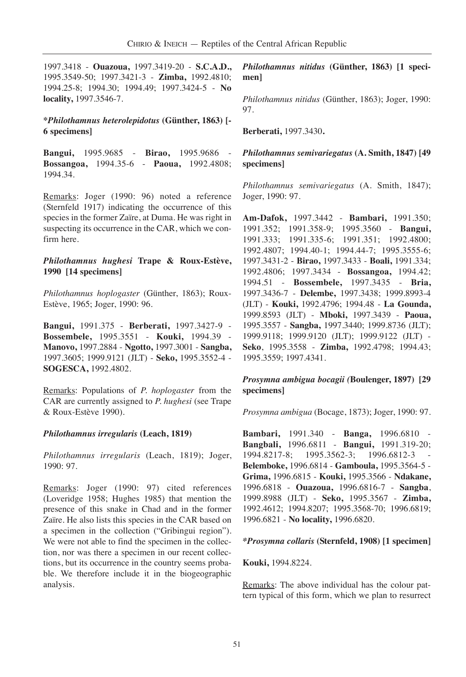1997.3418 - **Ouazoua,** 1997.3419-20 - **S.C.A.D.,** 1995.3549-50; 1997.3421-3 - **Zimba,** 1992.4810; 1994.25-8; 1994.30; 1994.49; 1997.3424-5 - **No locality,** 1997.3546-7.

#### **\****Philothamnus heterolepidotus* **(Günther, 1863) [- 6 specimens]**

**Bangui,** 1995.9685 - **Birao,** 1995.9686 - **Bossangoa,** 1994.35-6 - **Paoua,** 1992.4808; 1994.34.

Remarks: Joger (1990: 96) noted a reference (Sternfeld 1917) indicating the occurrence of this species in the former Zaïre, at Duma. He was right in suspecting its occurrence in the CAR, which we confirm here.

#### *Philothamnus hughesi* **Trape & Roux-Estève, 1990 [14 specimens]**

*Philothamnus hoplogaster* (Günther, 1863); Roux-Estève, 1965; Joger, 1990: 96.

**Bangui,** 1991.375 - **Berberati,** 1997.3427-9 - **Bossembele,** 1995.3551 - **Kouki,** 1994.39 - **Manovo,** 1997.2884 - **Ngotto,** 1997.3001 - **Sangba,** 1997.3605; 1999.9121 (JLT) - **Seko,** 1995.3552-4 - **SOGESCA,** 1992.4802.

Remarks: Populations of *P. hoplogaster* from the CAR are currently assigned to *P. hughesi* (see Trape & Roux-Estève 1990).

#### *Philothamnus irregularis* **(Leach, 1819)**

*Philothamnus irregularis* (Leach, 1819); Joger, 1990: 97.

Remarks: Joger (1990: 97) cited references (Loveridge 1958; Hughes 1985) that mention the presence of this snake in Chad and in the former Zaïre. He also lists this species in the CAR based on a specimen in the collection ("Gribingui region"). We were not able to find the specimen in the collection, nor was there a specimen in our recent collections, but its occurrence in the country seems probable. We therefore include it in the biogeographic analysis.

*Philothamnus nitidus* **(Günther, 1863) [1 specimen]**

*Philothamnus nitidus* (Günther, 1863); Joger, 1990: 97.

**Berberati,** 1997.3430**.**

*Philothamnus semivariegatus* **(A. Smith, 1847) [49 specimens]**

*Philothamnus semivariegatus* (A. Smith, 1847); Joger, 1990: 97.

**Am-Dafok,** 1997.3442 - **Bambari,** 1991.350; 1991.352; 1991.358-9; 1995.3560 - **Bangui,** 1991.333; 1991.335-6; 1991.351; 1992.4800; 1992.4807; 1994.40-1; 1994.44-7; 1995.3555-6; 1997.3431-2 - **Birao,** 1997.3433 - **Boali,** 1991.334; 1992.4806; 1997.3434 - **Bossangoa,** 1994.42; 1994.51 - **Bossembele,** 1997.3435 - **Bria,** 1997.3436-7 - **Delembe,** 1997.3438; 1999.8993-4 (JLT) - **Kouki,** 1992.4796; 1994.48 - **La Gounda,** 1999.8593 (JLT) - **Mboki,** 1997.3439 - **Paoua,** 1995.3557 - **Sangba,** 1997.3440; 1999.8736 (JLT); 1999.9118; 1999.9120 (JLT); 1999.9122 (JLT) - **Seko**, 1995.3558 - **Zimba,** 1992.4798; 1994.43; 1995.3559; 1997.4341.

*Prosymna ambigua bocagii (***Boulenger, 1897) [29 specimens]**

*Prosymna ambigua* (Bocage, 1873); Joger, 1990: 97.

**Bambari,** 1991.340 - **Banga,** 1996.6810 - **Bangbali,** 1996.6811 - **Bangui,** 1991.319-20; 1994.8217-8; 1995.3562-3; 1996.6812-3 - **Belemboke,** 1996.6814 - **Gamboula,** 1995.3564-5 - **Grima,** 1996.6815 - **Kouki,** 1995.3566 - **Ndakane,** 1996.6818 - **Ouazoua,** 1996.6816-7 - **Sangba**, 1999.8988 (JLT) - **Seko,** 1995.3567 - **Zimba,** 1992.4612; 1994.8207; 1995.3568-70; 1996.6819; 1996.6821 - **No locality,** 1996.6820.

#### *\*Prosymna collaris* **(Sternfeld, 1908) [1 specimen]**

#### **Kouki,** 1994.8224.

Remarks: The above individual has the colour pattern typical of this form, which we plan to resurrect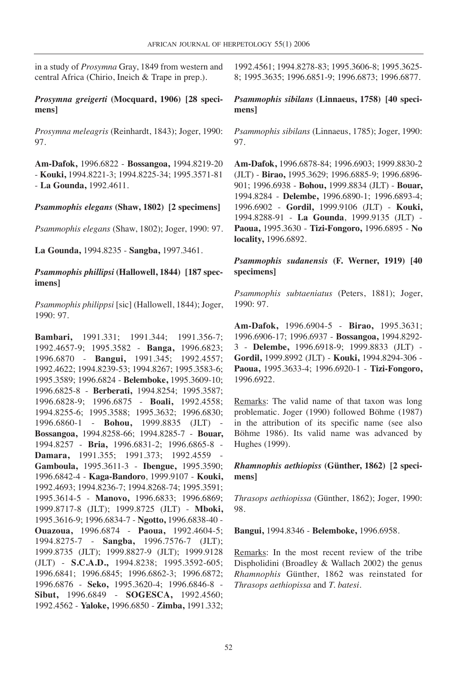in a study of *Prosymna* Gray, 1849 from western and central Africa (Chirio, Ineich & Trape in prep.).

*Prosymna greigerti* **(Mocquard, 1906) [28 specimens]**

*Prosymna meleagris* (Reinhardt, 1843); Joger, 1990: 97.

**Am-Dafok,** 1996.6822 - **Bossangoa,** 1994.8219-20 - **Kouki,** 1994.8221-3; 1994.8225-34; 1995.3571-81 - **La Gounda,** 1992.4611.

*Psammophis elegans* **(Shaw, 1802) [2 specimens]**

*Psammophis elegans* (Shaw, 1802); Joger, 1990: 97.

**La Gounda,** 1994.8235 - **Sangba,** 1997.3461.

### *Psammophis phillipsi* **(Hallowell, 1844) [187 specimens]**

*Psammophis philippsi* [sic] (Hallowell, 1844); Joger, 1990: 97.

**Bambari,** 1991.331; 1991.344; 1991.356-7; 1992.4657-9; 1995.3582 - **Banga,** 1996.6823; 1996.6870 - **Bangui,** 1991.345; 1992.4557; 1992.4622; 1994.8239-53; 1994.8267; 1995.3583-6; 1995.3589; 1996.6824 - **Belemboke,** 1995.3609-10; 1996.6825-8 - **Berberati,** 1994.8254; 1995.3587; 1996.6828-9; 1996.6875 - **Boali,** 1992.4558; 1994.8255-6; 1995.3588; 1995.3632; 1996.6830; 1996.6860-1 - **Bohou,** 1999.8835 (JLT) - **Bossangoa,** 1994.8258-66; 1994.8285-7 - **Bouar,** 1994.8257 - **Bria,** 1996.6831-2; 1996.6865-8 - **Damara,** 1991.355; 1991.373; 1992.4559 - **Gamboula,** 1995.3611-3 - **Ibengue,** 1995.3590; 1996.6842-4 - **Kaga-Bandoro**, 1999.9107 - **Kouki,** 1992.4693; 1994.8236-7; 1994.8268-74; 1995.3591; 1995.3614-5 - **Manovo,** 1996.6833; 1996.6869; 1999.8717-8 (JLT); 1999.8725 (JLT) - **Mboki,** 1995.3616-9; 1996.6834-7 - **Ngotto,** 1996.6838-40 - **Ouazoua,** 1996.6874 - **Paoua,** 1992.4604-5; 1994.8275-7 - **Sangba,** 1996.7576-7 (JLT); 1999.8735 (JLT); 1999.8827-9 (JLT); 1999.9128 (JLT) - **S.C.A.D.,** 1994.8238; 1995.3592-605; 1996.6841; 1996.6845; 1996.6862-3; 1996.6872; 1996.6876 - **Seko,** 1995.3620-4; 1996.6846-8 - **Sibut,** 1996.6849 - **SOGESCA,** 1992.4560; 1992.4562 - **Yaloke,** 1996.6850 - **Zimba,** 1991.332;

1992.4561; 1994.8278-83; 1995.3606-8; 1995.3625- 8; 1995.3635; 1996.6851-9; 1996.6873; 1996.6877.

*Psammophis sibilans* **(Linnaeus, 1758) [40 specimens]**

*Psammophis sibilans* (Linnaeus, 1785); Joger, 1990: 97.

**Am-Dafok,** 1996.6878-84; 1996.6903; 1999.8830-2 (JLT) - **Birao,** 1995.3629; 1996.6885-9; 1996.6896- 901; 1996.6938 - **Bohou,** 1999.8834 (JLT) - **Bouar,** 1994.8284 - **Delembe,** 1996.6890-1; 1996.6893-4; 1996.6902 - **Gordil,** 1999.9106 (JLT) - **Kouki,** 1994.8288-91 - **La Gounda**, 1999.9135 (JLT) - **Paoua,** 1995.3630 - **Tizi-Fongoro,** 1996.6895 - **No locality,** 1996.6892.

*Psammophis sudanensis* **(F. Werner, 1919) [40 specimens]**

*Psammophis subtaeniatus* (Peters, 1881); Joger, 1990: 97.

**Am-Dafok,** 1996.6904-5 - **Birao,** 1995.3631; 1996.6906-17; 1996.6937 - **Bossangoa,** 1994.8292- 3 - **Delembe,** 1996.6918-9; 1999.8833 (JLT) - **Gordil,** 1999.8992 (JLT) - **Kouki,** 1994.8294-306 - **Paoua,** 1995.3633-4; 1996.6920-1 - **Tizi-Fongoro,** 1996.6922.

Remarks: The valid name of that taxon was long problematic. Joger (1990) followed Böhme (1987) in the attribution of its specific name (see also Böhme 1986). Its valid name was advanced by Hughes (1999).

*Rhamnophis aethiopiss* **(Günther, 1862) [2 specimens]**

*Thrasops aethiopissa* (Günther, 1862); Joger, 1990: 98.

**Bangui,** 1994.8346 - **Belemboke,** 1996.6958.

Remarks: In the most recent review of the tribe Dispholidini (Broadley & Wallach 2002) the genus *Rhamnophis* Günther, 1862 was reinstated for *Thrasops aethiopissa* and *T. batesi*.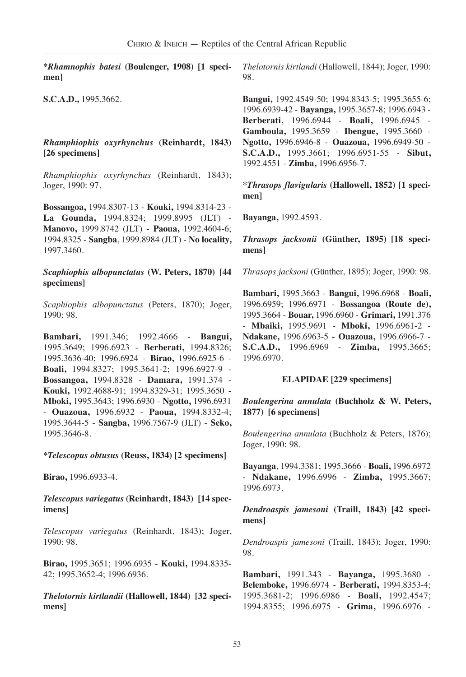**\****Rhamnophis batesi* **(Boulenger, 1908) [1 specimen]**

**S.C.A.D.,** 1995.3662.

### *Rhamphiophis oxyrhynchus* **(Reinhardt, 1843) [26 specimens]**

*Rhamphiophis oxyrhynchus* (Reinhardt, 1843); Joger, 1990: 97.

**Bossangoa,** 1994.8307-13 - **Kouki,** 1994.8314-23 - **La Gounda,** 1994.8324; 1999.8995 (JLT) - **Manovo,** 1999.8742 (JLT) - **Paoua,** 1992.4604-6; 1994.8325 - **Sangba**, 1999.8984 (JLT) - **No locality,** 1997.3460.

#### *Scaphiophis albopunctatus* **(W. Peters, 1870) [44 specimens]**

*Scaphiophis albopunctatus* (Peters, 1870); Joger, 1990: 98.

**Bambari,** 1991.346; 1992.4666 - **Bangui,** 1995.3649; 1996.6923 - **Berberati,** 1994.8326; 1995.3636-40; 1996.6924 - **Birao,** 1996.6925-6 - **Boali,** 1994.8327; 1995.3641-2; 1996.6927-9 - **Bossangoa,** 1994.8328 - **Damara,** 1991.374 - **Kouki,** 1992.4688-91; 1994.8329-31; 1995.3650 - **Mboki,** 1995.3643; 1996.6930 - **Ngotto,** 1996.6931 - **Ouazoua,** 1996.6932 - **Paoua,** 1994.8332-4; 1995.3644-5 - **Sangba,** 1996.7567-9 (JLT) - **Seko,** 1995.3646-8.

**\****Telescopus obtusus* **(Reuss, 1834) [2 specimens]**

**Birao,** 1996.6933-4.

### *Telescopus variegatus* **(Reinhardt, 1843) [14 specimens]**

*Telescopus variegatus* (Reinhardt, 1843); Joger, 1990: 98.

**Birao,** 1995.3651; 1996.6935 - **Kouki,** 1994.8335- 42; 1995.3652-4; 1996.6936.

*Thelotornis kirtlandii* **(Hallowell, 1844) [32 specimens]**

*Thelotornis kirtlandi* (Hallowell, 1844); Joger, 1990: 98.

**Bangui,** 1992.4549-50; 1994.8343-5; 1995.3655-6; 1996.6939-42 - **Bayanga,** 1995.3657-8; 1996.6943 - **Berberati**, 1996.6944 - **Boali,** 1996.6945 - **Gamboula,** 1995.3659 - **Ibengue,** 1995.3660 - **Ngotto,** 1996.6946-8 - **Ouazoua,** 1996.6949-50 - **S.C.A.D.,** 1995.3661; 1996.6951-55 - **Sibut,** 1992.4551 - **Zimba,** 1996.6956-7.

**\****Thrasops flavigularis* **(Hallowell, 1852) [1 specimen]**

**Bayanga,** 1992.4593.

*Thrasops jacksonii* **(Günther, 1895) [18 specimens]**

*Thrasops jacksoni* (Günther, 1895); Joger, 1990: 98.

**Bambari,** 1995.3663 - **Bangui,** 1996.6968 - **Boali,** 1996.6959; 1996.6971 - **Bossangoa (Route de),** 1995.3664 - **Bouar,** 1996.6960 - **Grimari,** 1991.376 - **Mbaiki,** 1995.9691 - **Mboki,** 1996.6961-2 - **Ndakane,** 1996.6963-5 **- Ouazoua,** 1996.6966-7 - **S.C.A.D.,** 1996.6969 - **Zimba,** 1995.3665; 1996.6970.

#### **ELAPIDAE [229 specimens]**

## *Boulengerina annulata* **(Buchholz & W. Peters, 1877) [6 specimens]**

*Boulengerina annulata* (Buchholz & Peters, 1876); Joger, 1990: 98.

**Bayanga**, 1994.3381; 1995.3666 - **Boali,** 1996.6972 - **Ndakane,** 1996.6996 - **Zimba,** 1995.3667; 1996.6973.

*Dendroaspis jamesoni* **(Traill, 1843) [42 specimens]**

*Dendroaspis jamesoni* (Traill, 1843); Joger, 1990: 98.

**Bambari,** 1991.343 - **Bayanga,** 1995.3680 - **Belemboke,** 1996.6974 - **Berberati,** 1994.8353-4; 1995.3681-2; 1996.6986 - **Boali,** 1992.4547; 1994.8355; 1996.6975 - **Grima,** 1996.6976 -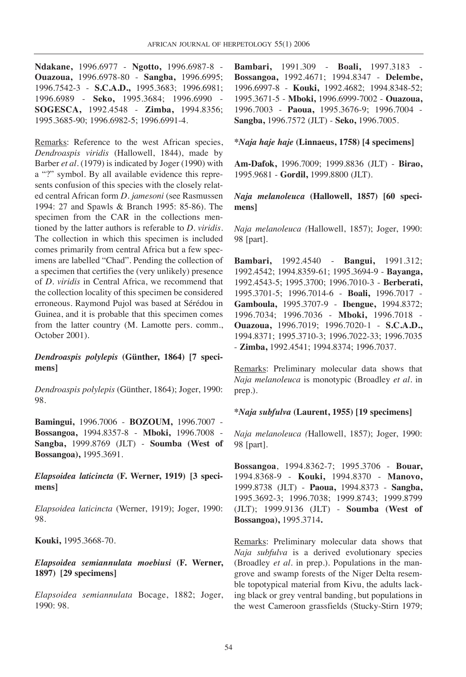**Ndakane,** 1996.6977 - **Ngotto,** 1996.6987-8 - **Ouazoua,** 1996.6978-80 - **Sangba,** 1996.6995; 1996.7542-3 - **S.C.A.D.,** 1995.3683; 1996.6981; 1996.6989 - **Seko,** 1995.3684; 1996.6990 - **SOGESCA,** 1992.4548 - **Zimba,** 1994.8356; 1995.3685-90; 1996.6982-5; 1996.6991-4.

Remarks: Reference to the west African species, *Dendroaspis viridis* (Hallowell, 1844), made by Barber *et al.* (1979) is indicated by Joger (1990) with a "?" symbol. By all available evidence this represents confusion of this species with the closely related central African form *D. jamesoni* (see Rasmussen 1994: 27 and Spawls & Branch 1995: 85-86). The specimen from the CAR in the collections mentioned by the latter authors is referable to *D. viridis*. The collection in which this specimen is included comes primarily from central Africa but a few specimens are labelled "Chad". Pending the collection of a specimen that certifies the (very unlikely) presence of *D. viridis* in Central Africa, we recommend that the collection locality of this specimen be considered erroneous. Raymond Pujol was based at Sérédou in Guinea, and it is probable that this specimen comes from the latter country (M. Lamotte pers. comm., October 2001).

*Dendroaspis polylepis* **(Günther, 1864) [7 specimens]**

*Dendroaspis polylepis* (Günther, 1864); Joger, 1990: 98.

**Bamingui,** 1996.7006 - **BOZOUM,** 1996.7007 - **Bossangoa,** 1994.8357-8 - **Mboki,** 1996.7008 - **Sangba,** 1999.8769 (JLT) - **Soumba (West of Bossangoa),** 1995.3691.

*Elapsoidea laticincta* **(F. Werner, 1919) [3 specimens]**

*Elapsoidea laticincta* (Werner, 1919); Joger, 1990: 98.

**Kouki,** 1995.3668-70.

*Elapsoidea semiannulata moebiusi* **(F. Werner, 1897) [29 specimens]**

*Elapsoidea semiannulata* Bocage, 1882; Joger, 1990: 98.

**Bambari,** 1991.309 - **Boali,** 1997.3183 - **Bossangoa,** 1992.4671; 1994.8347 - **Delembe,** 1996.6997-8 - **Kouki,** 1992.4682; 1994.8348-52; 1995.3671-5 - **Mboki,** 1996.6999-7002 - **Ouazoua,** 1996.7003 - **Paoua,** 1995.3676-9; 1996.7004 - **Sangba,** 1996.7572 (JLT) - **Seko,** 1996.7005.

#### **\****Naja haje haje* **(Linnaeus, 1758) [4 specimens]**

**Am-Dafok,** 1996.7009; 1999.8836 (JLT) - **Birao,** 1995.9681 - **Gordil,** 1999.8800 (JLT).

*Naja melanoleuca* **(Hallowell, 1857) [60 specimens]**

*Naja melanoleuca (*Hallowell, 1857); Joger, 1990: 98 [part].

**Bambari,** 1992.4540 - **Bangui,** 1991.312; 1992.4542; 1994.8359-61; 1995.3694-9 - **Bayanga,** 1992.4543-5; 1995.3700; 1996.7010-3 - **Berberati,** 1995.3701-5; 1996.7014-6 - **Boali,** 1996.7017 - **Gamboula,** 1995.3707-9 - **Ibengue,** 1994.8372; 1996.7034; 1996.7036 - **Mboki,** 1996.7018 - **Ouazoua,** 1996.7019; 1996.7020-1 - **S.C.A.D.,** 1994.8371; 1995.3710-3; 1996.7022-33; 1996.7035 - **Zimba,** 1992.4541; 1994.8374; 1996.7037.

Remarks: Preliminary molecular data shows that *Naja melanoleuca* is monotypic (Broadley *et al.* in prep.).

#### **\****Naja subfulva* **(Laurent, 1955) [19 specimens]**

*Naja melanoleuca (*Hallowell, 1857); Joger, 1990: 98 [part].

**Bossangoa**, 1994.8362-7; 1995.3706 - **Bouar,** 1994.8368-9 - **Kouki,** 1994.8370 - **Manovo,** 1999.8738 (JLT) - **Paoua,** 1994.8373 - **Sangba,** 1995.3692-3; 1996.7038; 1999.8743; 1999.8799 (JLT); 1999.9136 (JLT) - **Soumba (West of Bossangoa),** 1995.3714**.**

Remarks: Preliminary molecular data shows that *Naja subfulva* is a derived evolutionary species (Broadley *et al.* in prep.). Populations in the mangrove and swamp forests of the Niger Delta resemble topotypical material from Kivu, the adults lacking black or grey ventral banding, but populations in the west Cameroon grassfields (Stucky-Stirn 1979;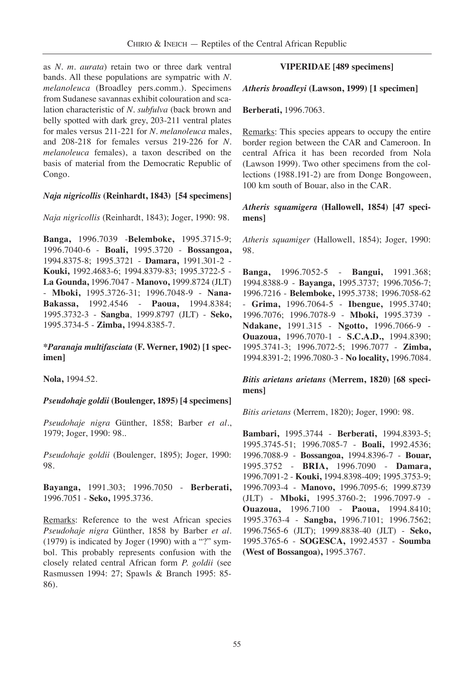as *N. m. aurata*) retain two or three dark ventral bands. All these populations are sympatric with *N. melanoleuca* (Broadley pers.comm.). Specimens from Sudanese savannas exhibit colouration and scalation characteristic of *N. subfulva* (back brown and belly spotted with dark grey, 203-211 ventral plates for males versus 211-221 for *N. melanoleuca* males, and 208-218 for females versus 219-226 for *N. melanoleuca* females), a taxon described on the basis of material from the Democratic Republic of Congo.

## *Naja nigricollis* **(Reinhardt, 1843) [54 specimens]**

*Naja nigricollis* (Reinhardt, 1843); Joger, 1990: 98.

**Banga,** 1996.7039 -**Belemboke,** 1995.3715-9; 1996.7040-6 - **Boali,** 1995.3720 - **Bossangoa,** 1994.8375-8; 1995.3721 - **Damara,** 1991.301-2 - **Kouki,** 1992.4683-6; 1994.8379-83; 1995.3722-5 - **La Gounda,** 1996.7047 - **Manovo,** 1999.8724 (JLT) - **Mboki,** 1995.3726-31; 1996.7048-9 - **Nana-Bakassa,** 1992.4546 - **Paoua,** 1994.8384; 1995.3732-3 - **Sangba**, 1999.8797 (JLT) - **Seko,** 1995.3734-5 - **Zimba,** 1994.8385-7.

**\****Paranaja multifasciata* **(F. Werner, 1902) [1 specimen]**

**Nola,** 1994.52.

## *Pseudohaje goldii* **(Boulenger, 1895) [4 specimens]**

*Pseudohaje nigra* Günther, 1858; Barber *et al.*, 1979; Joger, 1990: 98..

*Pseudohaje goldii* (Boulenger, 1895); Joger, 1990: 98.

**Bayanga,** 1991.303; 1996.7050 - **Berberati,** 1996.7051 - **Seko,** 1995.3736.

Remarks: Reference to the west African species *Pseudohaje nigra* Günther, 1858 by Barber *et al.* (1979) is indicated by Joger (1990) with a "?" symbol. This probably represents confusion with the closely related central African form *P. goldii* (see Rasmussen 1994: 27; Spawls & Branch 1995: 85- 86).

## **VIPERIDAE [489 specimens]**

## *Atheris broadleyi* **(Lawson, 1999) [1 specimen]**

### **Berberati,** 1996.7063.

Remarks: This species appears to occupy the entire border region between the CAR and Cameroon. In central Africa it has been recorded from Nola (Lawson 1999). Two other specimens from the collections (1988.191-2) are from Donge Bongoween, 100 km south of Bouar, also in the CAR.

## *Atheris squamigera* **(Hallowell, 1854) [47 specimens]**

*Atheris squamiger* (Hallowell, 1854); Joger, 1990: 98.

**Banga,** 1996.7052-5 - **Bangui,** 1991.368; 1994.8388-9 - **Bayanga,** 1995.3737; 1996.7056-7; 1996.7216 - **Belemboke,** 1995.3738; 1996.7058-62 - **Grima,** 1996.7064-5 - **Ibengue,** 1995.3740; 1996.7076; 1996.7078-9 - **Mboki,** 1995.3739 - **Ndakane,** 1991.315 - **Ngotto,** 1996.7066-9 - **Ouazoua,** 1996.7070-1 - **S.C.A.D.,** 1994.8390; 1995.3741-3; 1996.7072-5; 1996.7077 - **Zimba,** 1994.8391-2; 1996.7080-3 - **No locality,** 1996.7084.

## *Bitis arietans arietans* **(Merrem, 1820) [68 specimens]**

*Bitis arietans* (Merrem, 1820); Joger, 1990: 98.

**Bambari,** 1995.3744 - **Berberati,** 1994.8393-5; 1995.3745-51; 1996.7085-7 - **Boali,** 1992.4536; 1996.7088-9 - **Bossangoa,** 1994.8396-7 - **Bouar,** 1995.3752 - **BRIA,** 1996.7090 - **Damara,** 1996.7091-2 - **Kouki,** 1994.8398-409; 1995.3753-9; 1996.7093-4 - **Manovo,** 1996.7095-6; 1999.8739 (JLT) - **Mboki,** 1995.3760-2; 1996.7097-9 - **Ouazoua,** 1996.7100 - **Paoua,** 1994.8410; 1995.3763-4 - **Sangba,** 1996.7101; 1996.7562; 1996.7565-6 (JLT); 1999.8838-40 (JLT) - **Seko,** 1995.3765-6 - **SOGESCA,** 1992.4537 - **Soumba (West of Bossangoa),** 1995.3767.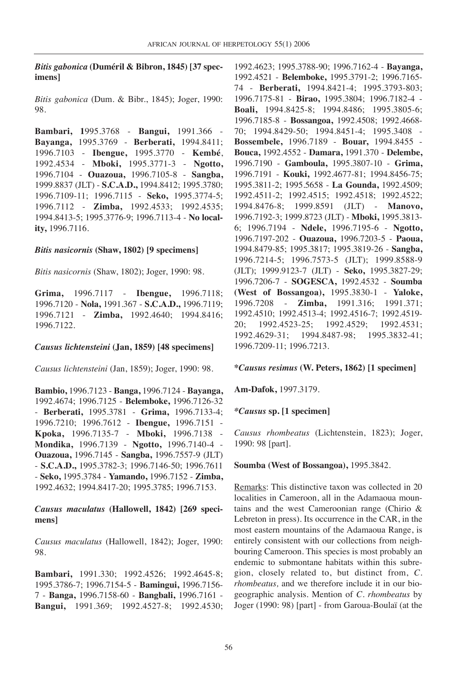## *Bitis gabonica* **(Duméril & Bibron, 1845) [37 specimens]**

*Bitis gabonica* (Dum. & Bibr., 1845); Joger, 1990: 98.

**Bambari, 1**995.3768 - **Bangui,** 1991.366 - **Bayanga,** 1995.3769 - **Berberati,** 1994.8411; 1996.7103 - **Ibengue,** 1995.3770 - **Kembé**, 1992.4534 - **Mboki,** 1995.3771-3 - **Ngotto,** 1996.7104 - **Ouazoua,** 1996.7105-8 - **Sangba,** 1999.8837 (JLT) - **S.C.A.D.,** 1994.8412; 1995.3780; 1996.7109-11; 1996.7115 - **Seko,** 1995.3774-5; 1996.7112 - **Zimba,** 1992.4533; 1992.4535; 1994.8413-5; 1995.3776-9; 1996.7113-4 - **No locality,** 1996.7116.

#### *Bitis nasicornis* **(Shaw, 1802) [9 specimens]**

*Bitis nasicornis* (Shaw, 1802); Joger, 1990: 98.

**Grima,** 1996.7117 - **Ibengue,** 1996.7118; 1996.7120 - **Nola,** 1991.367 - **S.C.A.D.,** 1996.7119; 1996.7121 - **Zimba,** 1992.4640; 1994.8416; 1996.7122.

#### *Causus lichtensteini* **(Jan, 1859) [48 specimens]**

*Causus lichtensteini* (Jan, 1859); Joger, 1990: 98.

**Bambio,** 1996.7123 - **Banga,** 1996.7124 - **Bayanga,** 1992.4674; 1996.7125 - **Belemboke,** 1996.7126-32 - **Berberati,** 1995.3781 - **Grima,** 1996.7133-4; 1996.7210; 1996.7612 - **Ibengue,** 1996.7151 - **Kpoka,** 1996.7135-7 - **Mboki,** 1996.7138 - **Mondika,** 1996.7139 - **Ngotto,** 1996.7140-4 - **Ouazoua,** 1996.7145 - **Sangba,** 1996.7557-9 (JLT) - **S.C.A.D.,** 1995.3782-3; 1996.7146-50; 1996.7611 - **Seko,** 1995.3784 - **Yamando,** 1996.7152 - **Zimba,** 1992.4632; 1994.8417-20; 1995.3785; 1996.7153.

### *Causus maculatus* **(Hallowell, 1842) [269 specimens]**

*Causus maculatus* (Hallowell, 1842); Joger, 1990: 98.

**Bambari,** 1991.330; 1992.4526; 1992.4645-8; 1995.3786-7; 1996.7154-5 - **Bamingui,** 1996.7156- 7 - **Banga,** 1996.7158-60 - **Bangbali,** 1996.7161 - **Bangui,** 1991.369; 1992.4527-8; 1992.4530; 1992.4623; 1995.3788-90; 1996.7162-4 - **Bayanga,** 1992.4521 - **Belemboke,** 1995.3791-2; 1996.7165- 74 - **Berberati,** 1994.8421-4; 1995.3793-803; 1996.7175-81 - **Birao,** 1995.3804; 1996.7182-4 - **Boali,** 1994.8425-8; 1994.8486; 1995.3805-6; 1996.7185-8 - **Bossangoa,** 1992.4508; 1992.4668- 70; 1994.8429-50; 1994.8451-4; 1995.3408 - **Bossembele,** 1996.7189 - **Bouar,** 1994.8455 - **Bouca,** 1992.4552 - **Damara,** 1991.370 - **Delembe,** 1996.7190 - **Gamboula,** 1995.3807-10 - **Grima,** 1996.7191 - **Kouki,** 1992.4677-81; 1994.8456-75; 1995.3811-2; 1995.5658 - **La Gounda,** 1992.4509; 1992.4511-2; 1992.4515; 1992.4518; 1992.4522; 1994.8476-8; 1999.8591 (JLT) - **Manovo,** 1996.7192-3; 1999.8723 (JLT) - **Mboki,** 1995.3813- 6; 1996.7194 - **Ndele,** 1996.7195-6 - **Ngotto,** 1996.7197-202 - **Ouazoua,** 1996.7203-5 - **Paoua,** 1994.8479-85; 1995.3817; 1995.3819-26 - **Sangba,** 1996.7214-5; 1996.7573-5 (JLT); 1999.8588-9 (JLT); 1999.9123-7 (JLT) - **Seko,** 1995.3827-29; 1996.7206-7 - **SOGESCA,** 1992.4532 - **Soumba (West of Bossangoa),** 1995.3830-1 - **Yaloke,** 1996.7208 - **Zimba,** 1991.316; 1991.371; 1992.4510; 1992.4513-4; 1992.4516-7; 1992.4519- 20; 1992.4523-25; 1992.4529; 1992.4531; 1992.4629-31; 1994.8487-98; 1995.3832-41; 1996.7209-11; 1996.7213.

#### **\****Causus resimus* **(W. Peters, 1862) [1 specimen]**

**Am-Dafok,** 1997.3179.

#### *\*Causus* **sp. [1 specimen]**

*Causus rhombeatus* (Lichtenstein, 1823); Joger, 1990: 98 [part].

#### **Soumba (West of Bossangoa),** 1995.3842.

Remarks: This distinctive taxon was collected in 20 localities in Cameroon, all in the Adamaoua mountains and the west Cameroonian range (Chirio & Lebreton in press). Its occurrence in the CAR, in the most eastern mountains of the Adamaoua Range, is entirely consistent with our collections from neighbouring Cameroon. This species is most probably an endemic to submontane habitats within this subregion, closely related to, but distinct from, *C. rhombeatus,* and we therefore include it in our biogeographic analysis. Mention of *C. rhombeatus* by Joger (1990: 98) [part] - from Garoua-Boulaï (at the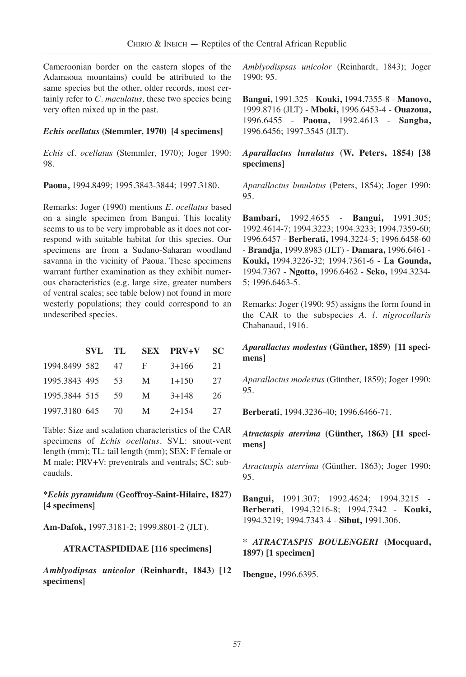Cameroonian border on the eastern slopes of the Adamaoua mountains) could be attributed to the same species but the other, older records, most certainly refer to *C. maculatus,* these two species being very often mixed up in the past.

#### *Echis ocellatus* **(Stemmler, 1970) [4 specimens]**

*Echis* cf. *ocellatus* (Stemmler, 1970); Joger 1990: 98.

**Paoua,** 1994.8499; 1995.3843-3844; 1997.3180.

Remarks: Joger (1990) mentions *E. ocellatus* based on a single specimen from Bangui. This locality seems to us to be very improbable as it does not correspond with suitable habitat for this species. Our specimens are from a Sudano-Saharan woodland savanna in the vicinity of Paoua. These specimens warrant further examination as they exhibit numerous characteristics (e.g. large size, greater numbers of ventral scales; see table below) not found in more westerly populations; they could correspond to an undescribed species.

|               |      |    | SVL TL SEX PRV+V | SC. |
|---------------|------|----|------------------|-----|
| 1994.8499 582 | - 47 | -F | $3+166$          | 21  |
| 1995.3843 495 | - 53 | M  | $1 + 150$        | 27  |
| 1995.3844 515 | - 59 | M  | $3 + 148$        | 26  |
| 1997.3180 645 | - 70 | M  | $2+154$          | 27  |

Table: Size and scalation characteristics of the CAR specimens of *Echis ocellatus*. SVL: snout-vent length (mm); TL: tail length (mm); SEX: F female or M male; PRV+V: preventrals and ventrals; SC: subcaudals.

## **\****Echis pyramidum* **(Geoffroy-Saint-Hilaire, 1827) [4 specimens]**

**Am-Dafok,** 1997.3181-2; 1999.8801-2 (JLT).

#### **ATRACTASPIDIDAE [116 specimens]**

*Amblyodipsas unicolor* **(Reinhardt, 1843) [12 specimens]**

*Amblyodispsas unicolor* (Reinhardt, 1843); Joger 1990: 95.

**Bangui,** 1991.325 - **Kouki,** 1994.7355-8 - **Manovo,** 1999.8716 (JLT) - **Mboki,** 1996.6453-4 - **Ouazoua,** 1996.6455 - **Paoua,** 1992.4613 - **Sangba,** 1996.6456; 1997.3545 (JLT).

*Aparallactus lunulatus* **(W. Peters, 1854) [38 specimens]**

*Aparallactus lunulatus* (Peters, 1854); Joger 1990: 95.

**Bambari,** 1992.4655 - **Bangui,** 1991.305; 1992.4614-7; 1994.3223; 1994.3233; 1994.7359-60; 1996.6457 - **Berberati,** 1994.3224-5; 1996.6458-60 - **Brandja**, 1999.8983 (JLT) - **Damara,** 1996.6461 - **Kouki,** 1994.3226-32; 1994.7361-6 - **La Gounda,** 1994.7367 - **Ngotto,** 1996.6462 - **Seko,** 1994.3234- 5; 1996.6463-5.

Remarks: Joger (1990: 95) assigns the form found in the CAR to the subspecies *A. l*. *nigrocollaris* Chabanaud, 1916.

### *Aparallactus modestus* **(Günther, 1859) [11 specimens]**

*Aparallactus modestus* (Günther, 1859); Joger 1990: 95.

**Berberati**, 1994.3236-40; 1996.6466-71.

*Atractaspis aterrima* **(Günther, 1863) [11 specimens]**

*Atractaspis aterrima* (Günther, 1863); Joger 1990: 95.

**Bangui,** 1991.307; 1992.4624; 1994.3215 - **Berberati**, 1994.3216-8; 1994.7342 - **Kouki,** 1994.3219; 1994.7343-4 - **Sibut,** 1991.306.

#### **\*** *ATRACTASPIS BOULENGERI* **(Mocquard, 1897) [1 specimen]**

**Ibengue,** 1996.6395.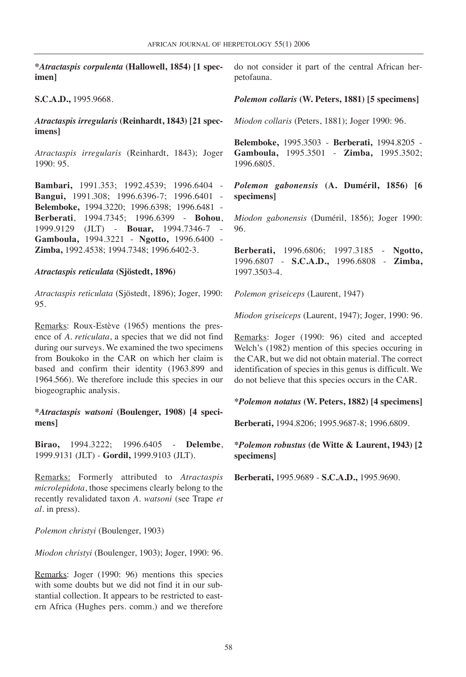**\****Atractaspis corpulenta* **(Hallowell, 1854) [1 specimen]**

**S.C.A.D.,** 1995.9668.

*Atractaspis irregularis* **(Reinhardt, 1843) [21 specimens]**

*Atractaspis irregularis* (Reinhardt, 1843); Joger 1990: 95.

**Bambari,** 1991.353; 1992.4539; 1996.6404 - **Bangui,** 1991.308; 1996.6396-7; 1996.6401 - **Belemboke,** 1994.3220; 1996.6398; 1996.6481 - **Berberati**, 1994.7345; 1996.6399 - **Bohou**, 1999.9129 (JLT) - **Bouar,** 1994.7346-7 - **Gamboula,** 1994.3221 - **Ngotto,** 1996.6400 - **Zimba,** 1992.4538; 1994.7348; 1996.6402-3.

#### *Atractaspis reticulata* **(Sjöstedt, 1896)**

*Atractaspis reticulata* (Sjöstedt, 1896); Joger, 1990: 95.

Remarks: Roux-Estève (1965) mentions the presence of *A. reticulata*, a species that we did not find during our surveys. We examined the two specimens from Boukoko in the CAR on which her claim is based and confirm their identity (1963.899 and 1964.566). We therefore include this species in our biogeographic analysis.

**\****Atractaspis watsoni* **(Boulenger, 1908) [4 specimens]**

**Birao,** 1994.3222; 1996.6405 - **Delembe**, 1999.9131 (JLT) - **Gordil,** 1999.9103 (JLT).

Remarks: Formerly attributed to *Atractaspis microlepidota*, those specimens clearly belong to the recently revalidated taxon *A. watsoni* (see Trape *et al.* in press).

*Polemon christyi* (Boulenger, 1903)

*Miodon christyi* (Boulenger, 1903); Joger, 1990: 96.

Remarks: Joger (1990: 96) mentions this species with some doubts but we did not find it in our substantial collection. It appears to be restricted to eastern Africa (Hughes pers. comm.) and we therefore do not consider it part of the central African herpetofauna.

*Polemon collaris* **(W. Peters, 1881) [5 specimens]**

*Miodon collaris* (Peters, 1881); Joger 1990: 96.

**Belemboke,** 1995.3503 - **Berberati,** 1994.8205 - **Gamboula,** 1995.3501 - **Zimba,** 1995.3502; 1996.6805.

*Polemon gabonensis* **(A. Duméril, 1856) [6 specimens]**

*Miodon gabonensis* (Duméril, 1856); Joger 1990: 96.

**Berberati,** 1996.6806; 1997.3185 - **Ngotto,** 1996.6807 - **S.C.A.D.,** 1996.6808 - **Zimba,** 1997.3503-4.

*Polemon griseiceps* (Laurent, 1947)

*Miodon griseiceps* (Laurent, 1947); Joger, 1990: 96.

Remarks: Joger (1990: 96) cited and accepted Welch's (1982) mention of this species occuring in the CAR, but we did not obtain material. The correct identification of species in this genus is difficult. We do not believe that this species occurs in the CAR.

**\****Polemon notatus* **(W. Peters, 1882) [4 specimens]**

**Berberati,** 1994.8206; 1995.9687-8; 1996.6809.

### **\****Polemon robustus* **(de Witte & Laurent, 1943) [2 specimens]**

**Berberati,** 1995.9689 - **S.C.A.D.,** 1995.9690.